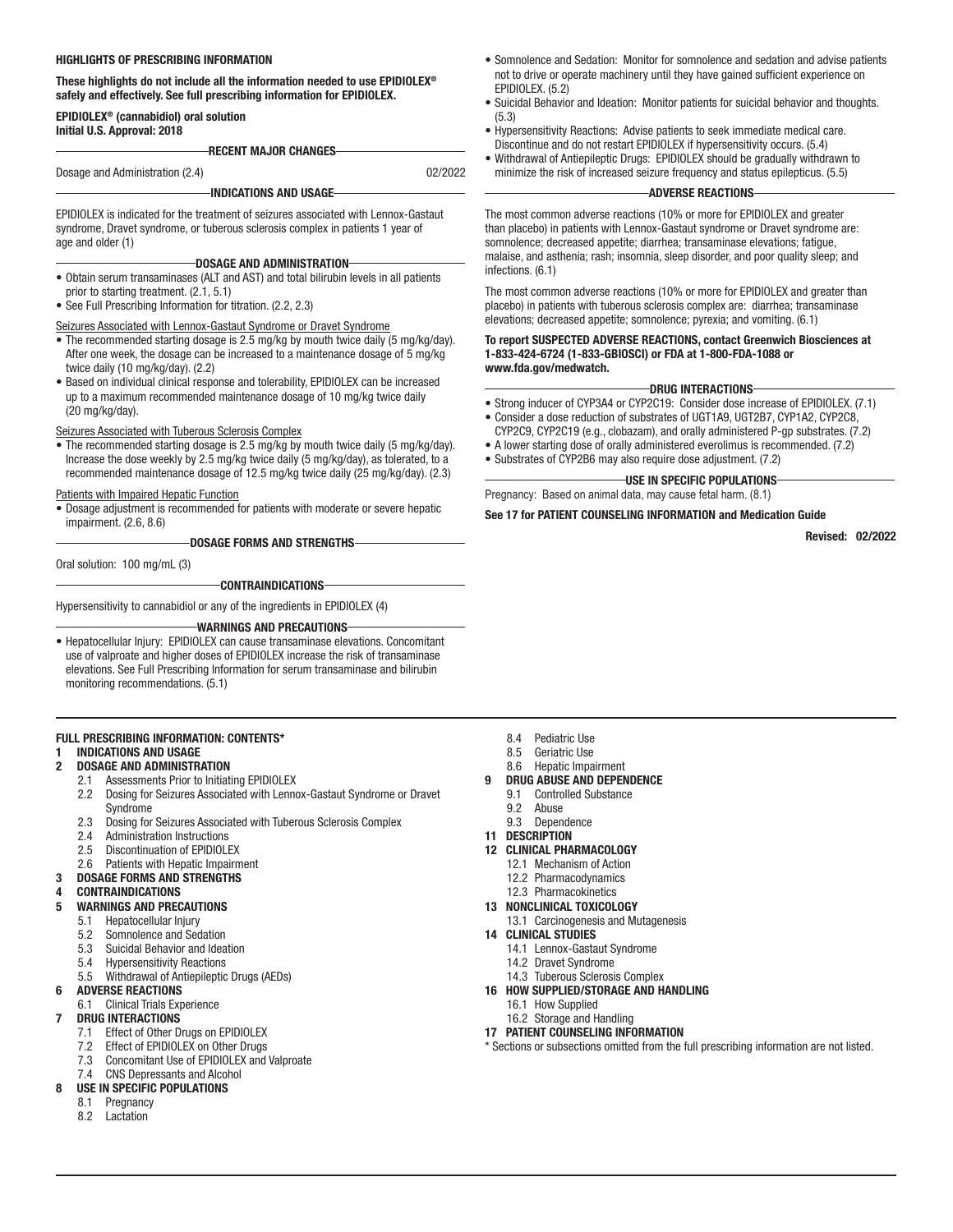#### HIGHLIGHTS OF PRESCRIBING INFORMATION

#### These highlights do not include all the information needed to use EPIDIOLEX® safely and effectively. See full prescribing information for EPIDIOLEX.

#### EPIDIOLEX® (cannabidiol) oral solution Initial U.S. Approval: 2018

RECENT MAJOR CHANGES

Dosage and Administration (2.4) 02/2022

#### INDICATIONS AND USAGE

EPIDIOLEX is indicated for the treatment of seizures associated with Lennox-Gastaut syndrome, Dravet syndrome, or tuberous sclerosis complex in patients 1 year of age and older (1)

#### DOSAGE AND ADMINISTRATION

- Obtain serum transaminases (ALT and AST) and total bilirubin levels in all patients prior to starting treatment. (2.1, 5.1)
- See Full Prescribing Information for titration. (2.2, 2.3)

#### Seizures Associated with Lennox-Gastaut Syndrome or Dravet Syndrome

- The recommended starting dosage is 2.5 mg/kg by mouth twice daily (5 mg/kg/day). After one week, the dosage can be increased to a maintenance dosage of 5 mg/kg twice daily (10 mg/kg/day). (2.2)
- Based on individual clinical response and tolerability, EPIDIOLEX can be increased up to a maximum recommended maintenance dosage of 10 mg/kg twice daily (20 mg/kg/day).

#### Seizures Associated with Tuberous Sclerosis Complex

• The recommended starting dosage is 2.5 mg/kg by mouth twice daily (5 mg/kg/day). Increase the dose weekly by 2.5 mg/kg twice daily (5 mg/kg/day), as tolerated, to a recommended maintenance dosage of 12.5 mg/kg twice daily (25 mg/kg/day). (2.3)

#### Patients with Impaired Hepatic Function

• Dosage adjustment is recommended for patients with moderate or severe hepatic impairment. (2.6, 8.6)

DOSAGE FORMS AND STRENGTHS

Oral solution: 100 mg/mL (3)

CONTRAINDICATIONS

Hypersensitivity to cannabidiol or any of the ingredients in EPIDIOLEX (4)

#### WARNINGS AND PRECAUTIONS

• Hepatocellular Injury: EPIDIOLEX can cause transaminase elevations. Concomitant use of valproate and higher doses of EPIDIOLEX increase the risk of transaminase elevations. See Full Prescribing Information for serum transaminase and bilirubin monitoring recommendations. (5.1)

#### FULL PRESCRIBING INFORMATION: CONTENTS\*

#### 1 INDICATIONS AND USAGE

#### 2 DOSAGE AND ADMINISTRATION

- 2.1 Assessments Prior to Initiating EPIDIOLEX
- 2.2 Dosing for Seizures Associated with Lennox-Gastaut Syndrome or Dravet Syndrome
- 2.3 Dosing for Seizures Associated with Tuberous Sclerosis Complex
- 2.4 Administration Instructions
- 2.5 Discontinuation of EPIDIOLEX
- 2.6 Patients with Hepatic Impairment
- 3 DOSAGE FORMS AND STRENGTHS
- **CONTRAINDICATIONS**

#### 5 WARNINGS AND PRECAUTIONS

- 5.1 Hepatocellular Injury
- 5.2 Somnolence and Sedation
- 5.3 Suicidal Behavior and Ideation
- 5.4 Hypersensitivity Reactions
- 5.5 Withdrawal of Antiepileptic Drugs (AEDs)

#### 6 ADVERSE REACTIONS

6.1 Clinical Trials Experience

### DRUG INTERACTIONS

- 7.1 Effect of Other Drugs on EPIDIOLEX
- 7.2 Effect of EPIDIOLEX on Other Drugs
- 7.3 Concomitant Use of EPIDIOLEX and Valproate
- 7.4 CNS Depressants and Alcohol

#### USE IN SPECIFIC POPULATIONS

- 8.1 Pregnancy
- 8.2 Lactation
- Somnolence and Sedation: Monitor for somnolence and sedation and advise patients not to drive or operate machinery until they have gained sufficient experience on EPIDIOLEX. (5.2)
- (5.3)
- Hypersensitivity Reactions: Advise patients to seek immediate medical care. Discontinue and do not restart EPIDIOLEX if hypersensitivity occurs. (5.4)
- minimize the risk of increased seizure frequency and status epilepticus. (5.5)

The most common adverse reactions (10% or more for EPIDIOLEX and greater than placebo) in patients with Lennox-Gastaut syndrome or Dravet syndrome are: malaise, and asthenia; rash; insomnia, sleep disorder, and poor quality sleep; and

The most common adverse reactions (10% or more for EPIDIOLEX and greater than placebo) in patients with tuberous sclerosis complex are: diarrhea; transaminase elevations; decreased appetite; somnolence; pyrexia; and vomiting. (6.1)

# www.fda.gov/medwatch.

#### DRUG INTERACTIONS

- Strong inducer of CYP3A4 or CYP2C19: Consider dose increase of EPIDIOLEX. (7.1)
- CYP2C9, CYP2C19 (e.g., clobazam), and orally administered P-gp substrates. (7.2)
- A lower starting dose of orally administered everolimus is recommended. (7.2)
- Substrates of CYP2B6 may also require dose adjustment. (7.2)

## USE IN SPECIFIC POPULATIONS

Pregnancy: Based on animal data, may cause fetal harm. (8.1)

#### See 17 for PATIENT COUNSELING INFORMATION and Medication Guide

Revised: 02/2022

- 8.4 Pediatric Use
- 8.5 Geriatric Use
- 8.6 Hepatic Impairment
- DRUG ABUSE AND DEPENDENCE
	- 9.1 Controlled Substance
	- 9.2 Abuse<br>9.3 Depen
- **Dependence**
- 11 DESCRIPTION
- 12 CLINICAL PHARMACOLOGY
	- 12.1 Mechanism of Action
	- 12.2 Pharmacodynamics 12.3 Pharmacokinetics
- 13 NONCLINICAL TOXICOLOGY
- 13.1 Carcinogenesis and Mutagenesis
- 14 CLINICAL STUDIES
	- 14.1 Lennox-Gastaut Syndrome
	- 14.2 Dravet Syndrome
	- 14.3 Tuberous Sclerosis Complex
- 16 HOW SUPPLIED/STORAGE AND HANDLING
	- 16.1 How Supplied
	- 16.2 Storage and Handling
- 17 PATIENT COUNSELING INFORMATION
- \* Sections or subsections omitted from the full prescribing information are not listed.
- Suicidal Behavior and Ideation: Monitor patients for suicidal behavior and thoughts.
- 
- Withdrawal of Antiepileptic Drugs: EPIDIOLEX should be gradually withdrawn to

#### ADVERSE REACTIONS

somnolence; decreased appetite; diarrhea; transaminase elevations; fatigue, infections. (6.1)

## To report SUSPECTED ADVERSE REACTIONS, contact Greenwich Biosciences at 1-833-424-6724 (1-833-GBIOSCI) or FDA at 1-800-FDA-1088 or

- Consider a dose reduction of substrates of UGT1A9, UGT2B7, CYP1A2, CYP2C8,
- 
-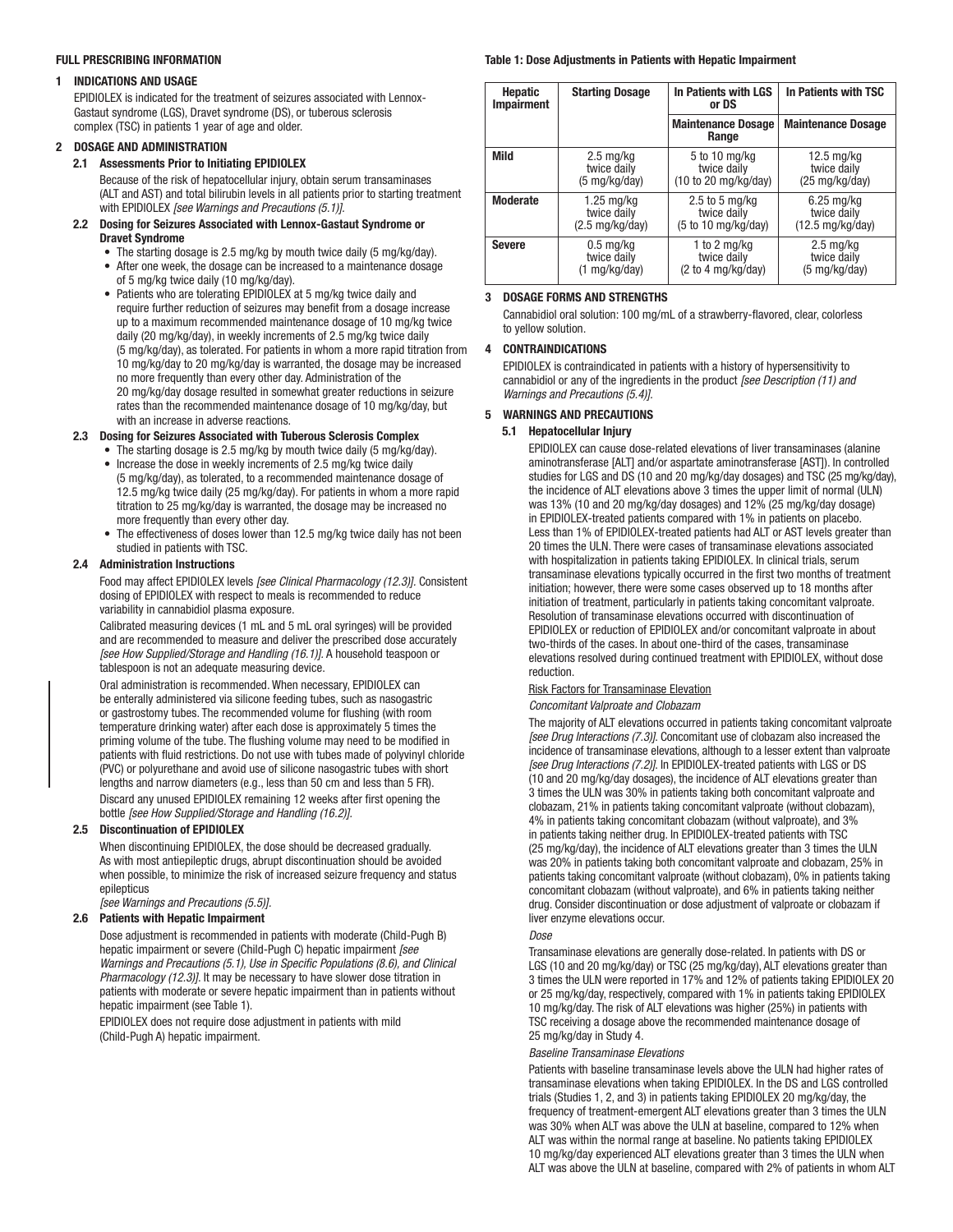#### FULL PRESCRIBING INFORMATION

#### 1 INDICATIONS AND USAGE

EPIDIOLEX is indicated for the treatment of seizures associated with Lennox-Gastaut syndrome (LGS), Dravet syndrome (DS), or tuberous sclerosis complex (TSC) in patients 1 year of age and older.

#### 2 DOSAGE AND ADMINISTRATION

#### 2.1 Assessments Prior to Initiating EPIDIOLEX

Because of the risk of hepatocellular injury, obtain serum transaminases (ALT and AST) and total bilirubin levels in all patients prior to starting treatment with EPIDIOLEX *[see Warnings and Precautions (5.1)].*

#### 2.2 Dosing for Seizures Associated with Lennox-Gastaut Syndrome or Dravet Syndrome

- The starting dosage is 2.5 mg/kg by mouth twice daily (5 mg/kg/day). • After one week, the dosage can be increased to a maintenance dosage
- of 5 mg/kg twice daily (10 mg/kg/day).
- Patients who are tolerating EPIDIOLEX at 5 mg/kg twice daily and require further reduction of seizures may benefit from a dosage increase up to a maximum recommended maintenance dosage of 10 mg/kg twice daily (20 mg/kg/day), in weekly increments of 2.5 mg/kg twice daily (5 mg/kg/day), as tolerated. For patients in whom a more rapid titration from 10 mg/kg/day to 20 mg/kg/day is warranted, the dosage may be increased no more frequently than every other day. Administration of the 20 mg/kg/day dosage resulted in somewhat greater reductions in seizure rates than the recommended maintenance dosage of 10 mg/kg/day, but with an increase in adverse reactions.

#### 2.3 Dosing for Seizures Associated with Tuberous Sclerosis Complex

- The starting dosage is 2.5 mg/kg by mouth twice daily (5 mg/kg/day). • Increase the dose in weekly increments of 2.5 mg/kg twice daily (5 mg/kg/day), as tolerated, to a recommended maintenance dosage of 12.5 mg/kg twice daily (25 mg/kg/day). For patients in whom a more rapid titration to 25 mg/kg/day is warranted, the dosage may be increased no more frequently than every other day.
- The effectiveness of doses lower than 12.5 mg/kg twice daily has not been studied in patients with TSC.

#### 2.4 Administration Instructions

Food may affect EPIDIOLEX levels *[see Clinical Pharmacology (12.3)].* Consistent dosing of EPIDIOLEX with respect to meals is recommended to reduce variability in cannabidiol plasma exposure.

Calibrated measuring devices (1 mL and 5 mL oral syringes) will be provided and are recommended to measure and deliver the prescribed dose accurately *[see How Supplied/Storage and Handling (16.1)].* A household teaspoon or tablespoon is not an adequate measuring device.

Oral administration is recommended. When necessary, EPIDIOLEX can be enterally administered via silicone feeding tubes, such as nasogastric or gastrostomy tubes. The recommended volume for flushing (with room temperature drinking water) after each dose is approximately 5 times the priming volume of the tube. The flushing volume may need to be modified in patients with fluid restrictions. Do not use with tubes made of polyvinyl chloride (PVC) or polyurethane and avoid use of silicone nasogastric tubes with short lengths and narrow diameters (e.g., less than 50 cm and less than 5 FR). Discard any unused EPIDIOLEX remaining 12 weeks after first opening the bottle *[see How Supplied/Storage and Handling (16.2)].* 

#### 2.5 Discontinuation of EPIDIOLEX

When discontinuing EPIDIOLEX, the dose should be decreased gradually. As with most antiepileptic drugs, abrupt discontinuation should be avoided when possible, to minimize the risk of increased seizure frequency and status epilepticus

*[see Warnings and Precautions (5.5)].*

#### 2.6 Patients with Hepatic Impairment

Dose adjustment is recommended in patients with moderate (Child-Pugh B) hepatic impairment or severe (Child-Pugh C) hepatic impairment *[see Warnings and Precautions (5.1), Use in Specific Populations (8.6), and Clinical Pharmacology (12.3)]*. It may be necessary to have slower dose titration in patients with moderate or severe hepatic impairment than in patients without hepatic impairment (see Table 1).

EPIDIOLEX does not require dose adjustment in patients with mild (Child-Pugh A) hepatic impairment.

#### Table 1: Dose Adjustments in Patients with Hepatic Impairment

| <b>Hepatic</b><br><b>Impairment</b> | <b>Starting Dosage</b>    | In Patients with LGS<br>or DS      | In Patients with TSC       |
|-------------------------------------|---------------------------|------------------------------------|----------------------------|
|                                     |                           | <b>Maintenance Dosage</b><br>Range | <b>Maintenance Dosage</b>  |
| Mild                                | $2.5 \text{ mg/kg}$       | 5 to 10 mg/kg                      | $12.5 \text{ mg/kg}$       |
|                                     | twice daily               | twice daily                        | twice daily                |
|                                     | $(5 \text{ mg/kg/day})$   | (10 to 20 mg/kg/day)               | $(25 \text{ mg/kg/day})$   |
| <b>Moderate</b>                     | $1.25 \text{ mg/kg}$      | $2.5$ to 5 mg/kg                   | $6.25$ mg/kg               |
|                                     | twice daily               | twice daily                        | twice daily                |
|                                     | $(2.5 \text{ mg/kg/day})$ | (5 to 10 mg/kg/day)                | $(12.5 \text{ mg/kg/day})$ |
| <b>Severe</b>                       | $0.5 \text{ mg/kg}$       | 1 to 2 mg/kg                       | $2.5 \text{ mg/kg}$        |
|                                     | twice daily               | twice daily                        | twice daily                |
|                                     | $(1 \text{ mg/kg/day})$   | (2 to 4 mg/kg/day)                 | $(5 \text{ mg/kg/day})$    |

#### 3 DOSAGE FORMS AND STRENGTHS

Cannabidiol oral solution: 100 mg/mL of a strawberry-flavored, clear, colorless to yellow solution.

#### 4 CONTRAINDICATIONS

EPIDIOLEX is contraindicated in patients with a history of hypersensitivity to cannabidiol or any of the ingredients in the product *[see Description (11) and Warnings and Precautions (5.4)].* 

#### 5 WARNINGS AND PRECAUTIONS

#### 5.1 Hepatocellular Injury

EPIDIOLEX can cause dose-related elevations of liver transaminases (alanine aminotransferase [ALT] and/or aspartate aminotransferase [AST]). In controlled studies for LGS and DS (10 and 20 mg/kg/day dosages) and TSC (25 mg/kg/day), the incidence of ALT elevations above 3 times the upper limit of normal (ULN) was 13% (10 and 20 mg/kg/day dosages) and 12% (25 mg/kg/day dosage) in EPIDIOLEX-treated patients compared with 1% in patients on placebo. Less than 1% of EPIDIOLEX-treated patients had ALT or AST levels greater than 20 times the ULN. There were cases of transaminase elevations associated with hospitalization in patients taking EPIDIOLEX. In clinical trials, serum transaminase elevations typically occurred in the first two months of treatment initiation; however, there were some cases observed up to 18 months after initiation of treatment, particularly in patients taking concomitant valproate. Resolution of transaminase elevations occurred with discontinuation of EPIDIOLEX or reduction of EPIDIOLEX and/or concomitant valproate in about two-thirds of the cases. In about one-third of the cases, transaminase elevations resolved during continued treatment with EPIDIOLEX, without dose reduction.

#### Risk Factors for Transaminase Elevation

## *Concomitant Valproate and Clobazam*

The majority of ALT elevations occurred in patients taking concomitant valproate *[see Drug Interactions (7.3)]*. Concomitant use of clobazam also increased the incidence of transaminase elevations, although to a lesser extent than valproate *[see Drug Interactions (7.2)]*. In EPIDIOLEX-treated patients with LGS or DS (10 and 20 mg/kg/day dosages), the incidence of ALT elevations greater than 3 times the ULN was 30% in patients taking both concomitant valproate and clobazam, 21% in patients taking concomitant valproate (without clobazam), 4% in patients taking concomitant clobazam (without valproate), and 3% in patients taking neither drug. In EPIDIOLEX-treated patients with TSC (25 mg/kg/day), the incidence of ALT elevations greater than 3 times the ULN was 20% in patients taking both concomitant valproate and clobazam, 25% in patients taking concomitant valproate (without clobazam), 0% in patients taking concomitant clobazam (without valproate), and 6% in patients taking neither drug. Consider discontinuation or dose adjustment of valproate or clobazam if liver enzyme elevations occur.

#### *Dose*

Transaminase elevations are generally dose-related. In patients with DS or LGS (10 and 20 mg/kg/day) or TSC (25 mg/kg/day), ALT elevations greater than 3 times the ULN were reported in 17% and 12% of patients taking EPIDIOLEX 20 or 25 mg/kg/day, respectively, compared with 1% in patients taking EPIDIOLEX 10 mg/kg/day. The risk of ALT elevations was higher (25%) in patients with TSC receiving a dosage above the recommended maintenance dosage of 25 mg/kg/day in Study 4.

#### *Baseline Transaminase Elevations*

Patients with baseline transaminase levels above the ULN had higher rates of transaminase elevations when taking EPIDIOLEX. In the DS and LGS controlled trials (Studies 1, 2, and 3) in patients taking EPIDIOLEX 20 mg/kg/day, the frequency of treatment-emergent ALT elevations greater than 3 times the ULN was 30% when ALT was above the ULN at baseline, compared to 12% when ALT was within the normal range at baseline. No patients taking EPIDIOLEX 10 mg/kg/day experienced ALT elevations greater than 3 times the ULN when ALT was above the ULN at baseline, compared with 2% of patients in whom ALT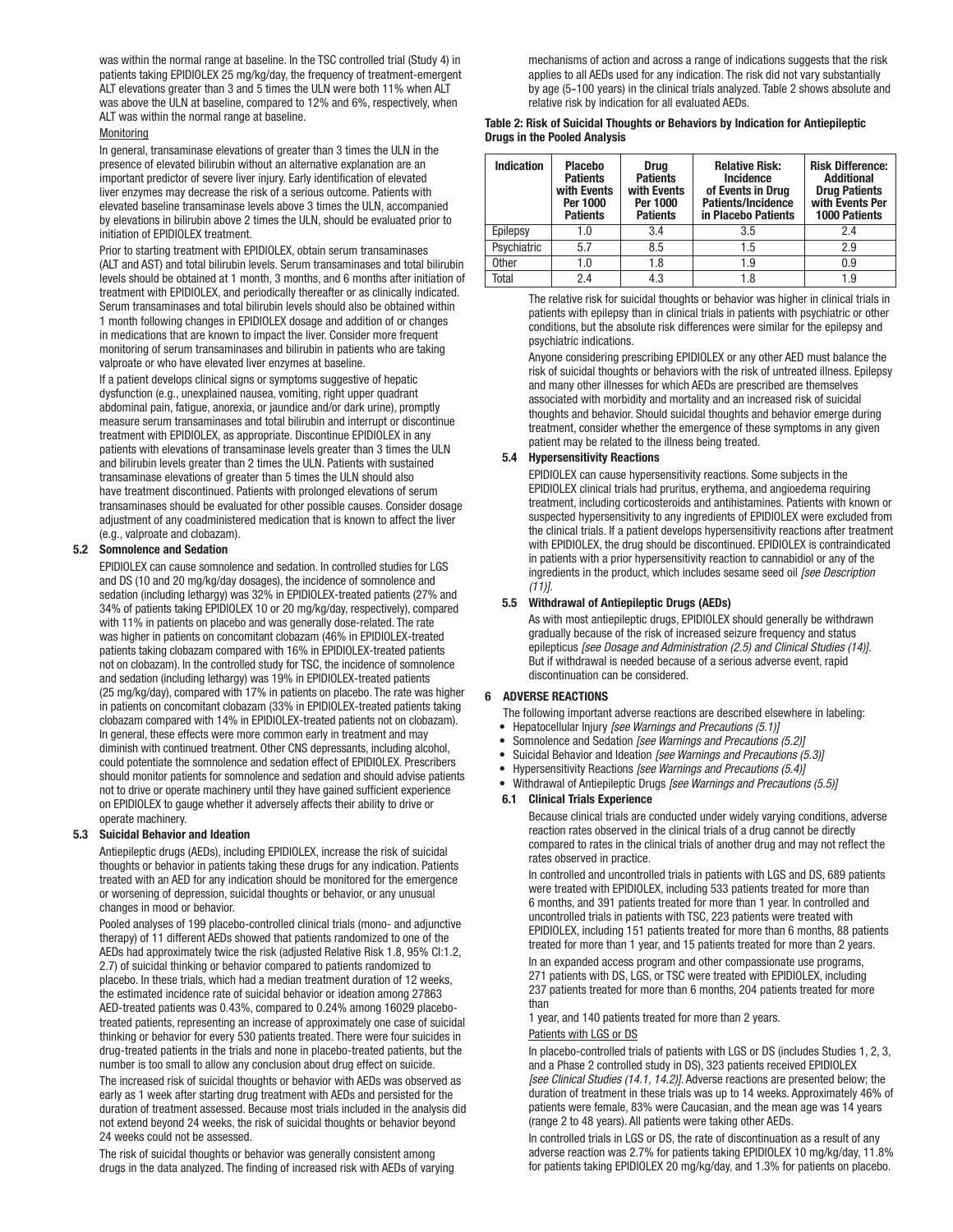was within the normal range at baseline. In the TSC controlled trial (Study 4) in patients taking EPIDIOLEX 25 mg/kg/day, the frequency of treatment-emergent ALT elevations greater than 3 and 5 times the ULN were both 11% when ALT was above the ULN at baseline, compared to 12% and 6%, respectively, when ALT was within the normal range at baseline.

#### **Monitoring**

In general, transaminase elevations of greater than 3 times the ULN in the presence of elevated bilirubin without an alternative explanation are an important predictor of severe liver injury. Early identification of elevated liver enzymes may decrease the risk of a serious outcome. Patients with elevated baseline transaminase levels above 3 times the ULN, accompanied by elevations in bilirubin above 2 times the ULN, should be evaluated prior to initiation of EPIDIOLEX treatment.

Prior to starting treatment with EPIDIOLEX, obtain serum transaminases (ALT and AST) and total bilirubin levels. Serum transaminases and total bilirubin levels should be obtained at 1 month, 3 months, and 6 months after initiation of treatment with EPIDIOLEX, and periodically thereafter or as clinically indicated. Serum transaminases and total bilirubin levels should also be obtained within 1 month following changes in EPIDIOLEX dosage and addition of or changes in medications that are known to impact the liver. Consider more frequent monitoring of serum transaminases and bilirubin in patients who are taking valproate or who have elevated liver enzymes at baseline.

If a patient develops clinical signs or symptoms suggestive of hepatic dysfunction (e.g., unexplained nausea, vomiting, right upper quadrant abdominal pain, fatigue, anorexia, or jaundice and/or dark urine), promptly measure serum transaminases and total bilirubin and interrupt or discontinue treatment with EPIDIOLEX, as appropriate. Discontinue EPIDIOLEX in any patients with elevations of transaminase levels greater than 3 times the ULN and bilirubin levels greater than 2 times the ULN. Patients with sustained transaminase elevations of greater than 5 times the ULN should also have treatment discontinued. Patients with prolonged elevations of serum transaminases should be evaluated for other possible causes. Consider dosage adjustment of any coadministered medication that is known to affect the liver (e.g., valproate and clobazam).

#### 5.2 Somnolence and Sedation

EPIDIOLEX can cause somnolence and sedation. In controlled studies for LGS and DS (10 and 20 mg/kg/day dosages), the incidence of somnolence and sedation (including lethargy) was 32% in EPIDIOLEX-treated patients (27% and 34% of patients taking EPIDIOLEX 10 or 20 mg/kg/day, respectively), compared with 11% in patients on placebo and was generally dose-related. The rate was higher in patients on concomitant clobazam (46% in EPIDIOLEX-treated patients taking clobazam compared with 16% in EPIDIOLEX-treated patients not on clobazam). In the controlled study for TSC, the incidence of somnolence and sedation (including lethargy) was 19% in EPIDIOLEX-treated patients (25 mg/kg/day), compared with 17% in patients on placebo. The rate was higher in patients on concomitant clobazam (33% in EPIDIOLEX-treated patients taking clobazam compared with 14% in EPIDIOLEX-treated patients not on clobazam). In general, these effects were more common early in treatment and may diminish with continued treatment. Other CNS depressants, including alcohol, could potentiate the somnolence and sedation effect of EPIDIOLEX. Prescribers should monitor patients for somnolence and sedation and should advise patients not to drive or operate machinery until they have gained sufficient experience on EPIDIOLEX to gauge whether it adversely affects their ability to drive or operate machinery.

#### 5.3 Suicidal Behavior and Ideation

Antiepileptic drugs (AEDs), including EPIDIOLEX, increase the risk of suicidal thoughts or behavior in patients taking these drugs for any indication. Patients treated with an AED for any indication should be monitored for the emergence or worsening of depression, suicidal thoughts or behavior, or any unusual changes in mood or behavior.

Pooled analyses of 199 placebo-controlled clinical trials (mono- and adjunctive therapy) of 11 different AEDs showed that patients randomized to one of the AEDs had approximately twice the risk (adjusted Relative Risk 1.8, 95% CI:1.2, 2.7) of suicidal thinking or behavior compared to patients randomized to placebo. In these trials, which had a median treatment duration of 12 weeks, the estimated incidence rate of suicidal behavior or ideation among 27863 AED-treated patients was 0.43%, compared to 0.24% among 16029 placebotreated patients, representing an increase of approximately one case of suicidal thinking or behavior for every 530 patients treated. There were four suicides in drug-treated patients in the trials and none in placebo-treated patients, but the number is too small to allow any conclusion about drug effect on suicide.

The increased risk of suicidal thoughts or behavior with AEDs was observed as early as 1 week after starting drug treatment with AEDs and persisted for the duration of treatment assessed. Because most trials included in the analysis did not extend beyond 24 weeks, the risk of suicidal thoughts or behavior beyond 24 weeks could not be assessed.

The risk of suicidal thoughts or behavior was generally consistent among drugs in the data analyzed. The finding of increased risk with AEDs of varying

mechanisms of action and across a range of indications suggests that the risk applies to all AEDs used for any indication. The risk did not vary substantially by age (5-100 years) in the clinical trials analyzed. Table 2 shows absolute and relative risk by indication for all evaluated AEDs.

#### Table 2: Risk of Suicidal Thoughts or Behaviors by Indication for Antiepileptic Drugs in the Pooled Analysis

| <b>Indication</b> | <b>Placebo</b><br><b>Patients</b><br>with Events<br>Per 1000<br><b>Patients</b> | <b>Drug</b><br><b>Patients</b><br>with Events<br>Per 1000<br><b>Patients</b> | <b>Relative Risk:</b><br><b>Incidence</b><br>of Events in Drug<br>Patients/Incidence<br>in Placebo Patients | <b>Risk Difference:</b><br><b>Additional</b><br><b>Drug Patients</b><br>with Events Per<br><b>1000 Patients</b> |
|-------------------|---------------------------------------------------------------------------------|------------------------------------------------------------------------------|-------------------------------------------------------------------------------------------------------------|-----------------------------------------------------------------------------------------------------------------|
| Epilepsy          | 1.0                                                                             | 3.4                                                                          | 3.5                                                                                                         | 2.4                                                                                                             |
| Psychiatric       | 5.7                                                                             | 8.5                                                                          | 1.5                                                                                                         | 2.9                                                                                                             |
| <b>Other</b>      | 1.0                                                                             | 1.8                                                                          | 1.9                                                                                                         | 0.9                                                                                                             |
| Total             | 2.4                                                                             | 4.3                                                                          | 1.8                                                                                                         | 1.9                                                                                                             |

The relative risk for suicidal thoughts or behavior was higher in clinical trials in patients with epilepsy than in clinical trials in patients with psychiatric or other conditions, but the absolute risk differences were similar for the epilepsy and psychiatric indications.

Anyone considering prescribing EPIDIOLEX or any other AED must balance the risk of suicidal thoughts or behaviors with the risk of untreated illness. Epilepsy and many other illnesses for which AEDs are prescribed are themselves associated with morbidity and mortality and an increased risk of suicidal thoughts and behavior. Should suicidal thoughts and behavior emerge during treatment, consider whether the emergence of these symptoms in any given patient may be related to the illness being treated.

#### 5.4 Hypersensitivity Reactions

EPIDIOLEX can cause hypersensitivity reactions. Some subjects in the EPIDIOLEX clinical trials had pruritus, erythema, and angioedema requiring treatment, including corticosteroids and antihistamines. Patients with known or suspected hypersensitivity to any ingredients of EPIDIOLEX were excluded from the clinical trials. If a patient develops hypersensitivity reactions after treatment with EPIDIOLEX, the drug should be discontinued. EPIDIOLEX is contraindicated in patients with a prior hypersensitivity reaction to cannabidiol or any of the ingredients in the product, which includes sesame seed oil *[see Description (11)].*

#### 5.5 Withdrawal of Antiepileptic Drugs (AEDs)

As with most antiepileptic drugs, EPIDIOLEX should generally be withdrawn gradually because of the risk of increased seizure frequency and status epilepticus *[see Dosage and Administration (2.5) and Clinical Studies (14)]*. But if withdrawal is needed because of a serious adverse event, rapid discontinuation can be considered.

#### 6 ADVERSE REACTIONS

- The following important adverse reactions are described elsewhere in labeling:
- Hepatocellular Injury *[see Warnings and Precautions (5.1)]*
- Somnolence and Sedation *[see Warnings and Precautions (5.2)]*
- Suicidal Behavior and Ideation *[see Warnings and Precautions (5.3)]*
- Hypersensitivity Reactions *[see Warnings and Precautions (5.4)]*
	- Withdrawal of Antiepileptic Drugs *[see Warnings and Precautions (5.5)]*

#### 6.1 Clinical Trials Experience

Because clinical trials are conducted under widely varying conditions, adverse reaction rates observed in the clinical trials of a drug cannot be directly compared to rates in the clinical trials of another drug and may not reflect the rates observed in practice.

In controlled and uncontrolled trials in patients with LGS and DS, 689 patients were treated with EPIDIOLEX, including 533 patients treated for more than 6 months, and 391 patients treated for more than 1 year. In controlled and uncontrolled trials in patients with TSC, 223 patients were treated with EPIDIOLEX, including 151 patients treated for more than 6 months, 88 patients treated for more than 1 year, and 15 patients treated for more than 2 years.

In an expanded access program and other compassionate use programs, 271 patients with DS, LGS, or TSC were treated with EPIDIOLEX, including 237 patients treated for more than 6 months, 204 patients treated for more than

1 year, and 140 patients treated for more than 2 years.

#### Patients with LGS or DS

In placebo-controlled trials of patients with LGS or DS (includes Studies 1, 2, 3, and a Phase 2 controlled study in DS), 323 patients received EPIDIOLEX *[see Clinical Studies (14.1, 14.2)]*. Adverse reactions are presented below; the duration of treatment in these trials was up to 14 weeks. Approximately 46% of patients were female, 83% were Caucasian, and the mean age was 14 years (range 2 to 48 years). All patients were taking other AEDs.

In controlled trials in LGS or DS, the rate of discontinuation as a result of any adverse reaction was 2.7% for patients taking EPIDIOLEX 10 mg/kg/day, 11.8% for patients taking EPIDIOLEX 20 mg/kg/day, and 1.3% for patients on placebo.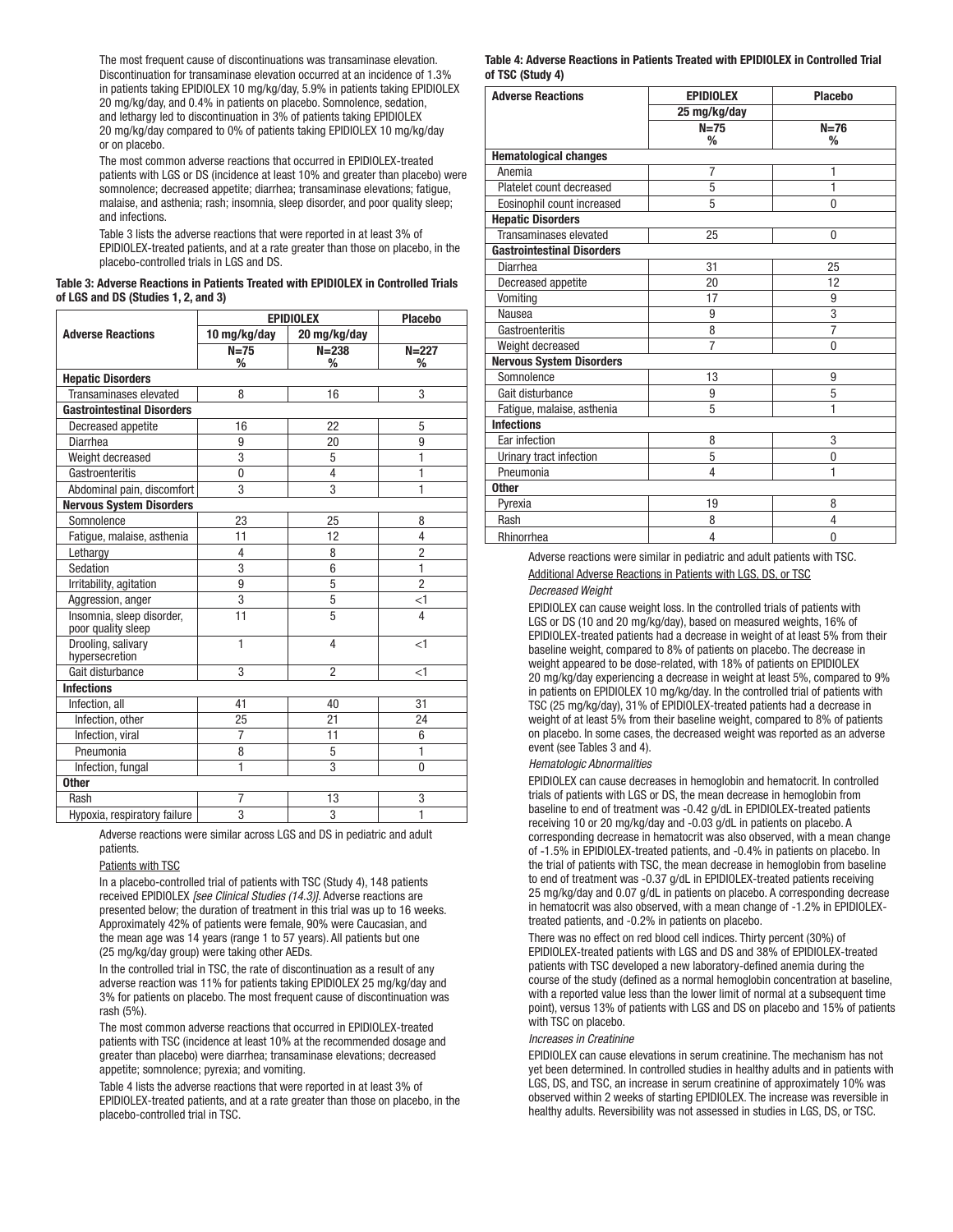The most frequent cause of discontinuations was transaminase elevation. Discontinuation for transaminase elevation occurred at an incidence of 1.3% in patients taking EPIDIOLEX 10 mg/kg/day, 5.9% in patients taking EPIDIOLEX 20 mg/kg/day, and 0.4% in patients on placebo. Somnolence, sedation, and lethargy led to discontinuation in 3% of patients taking EPIDIOLEX 20 mg/kg/day compared to 0% of patients taking EPIDIOLEX 10 mg/kg/day or on placebo.

The most common adverse reactions that occurred in EPIDIOLEX-treated patients with LGS or DS (incidence at least 10% and greater than placebo) were somnolence; decreased appetite; diarrhea; transaminase elevations; fatigue, malaise, and asthenia; rash; insomnia, sleep disorder, and poor quality sleep; and infections.

Table 3 lists the adverse reactions that were reported in at least 3% of EPIDIOLEX-treated patients, and at a rate greater than those on placebo, in the placebo-controlled trials in LGS and DS.

#### Table 3: Adverse Reactions in Patients Treated with EPIDIOLEX in Controlled Trials of LGS and DS (Studies 1, 2, and 3)

|                                                 | <b>EPIDIOLEX</b> | <b>Placebo</b> |                         |
|-------------------------------------------------|------------------|----------------|-------------------------|
| <b>Adverse Reactions</b>                        | 10 mg/kg/day     | 20 mg/kg/day   |                         |
|                                                 | $N=75$           | $N = 238$      | $N = 227$               |
|                                                 | %                | %              | %                       |
| <b>Hepatic Disorders</b>                        |                  |                |                         |
| Transaminases elevated                          | 8                | 16             | 3                       |
| <b>Gastrointestinal Disorders</b>               |                  |                |                         |
| Decreased appetite                              | 16               | 22             | 5                       |
| Diarrhea                                        | 9                | 20             | 9                       |
| Weight decreased                                | 3                | 5              | 1                       |
| Gastroenteritis                                 | $\mathbf{0}$     | 4              | 1                       |
| Abdominal pain, discomfort                      | 3                | 3              | 1                       |
| <b>Nervous System Disorders</b>                 |                  |                |                         |
| Somnolence                                      | 23               | 25             | 8                       |
| Fatigue, malaise, asthenia                      | 11               | 12             | 4                       |
| Lethargy                                        | 4                | 8              | $\overline{2}$          |
| Sedation                                        | 3                | 6              | 1                       |
| Irritability, agitation                         | 9                | 5              | $\overline{2}$          |
| Aggression, anger                               | 3                | 5              | $<$ 1                   |
| Insomnia, sleep disorder,<br>poor quality sleep | 11               | 5              | $\overline{\mathbf{4}}$ |
| Drooling, salivary<br>hypersecretion            | 1                | 4              | $\leq$ 1                |
| Gait disturbance                                | 3                | $\overline{2}$ | $<$ 1                   |
| <b>Infections</b>                               |                  |                |                         |
| Infection, all                                  | 41               | 40             | 31                      |
| Infection, other                                | 25               | 21             | 24                      |
| Infection, viral                                | 7                | 11             | 6                       |
| Pneumonia                                       | 8                | 5              | $\overline{1}$          |
| Infection, fungal                               | 1                | 3              | $\mathbf{0}$            |
| <b>Other</b>                                    |                  |                |                         |
| Rash                                            | $\overline{7}$   | 13             | 3                       |
| Hypoxia, respiratory failure                    | $\overline{3}$   | $\overline{3}$ | $\overline{1}$          |

Adverse reactions were similar across LGS and DS in pediatric and adult patients.

#### Patients with TSC

In a placebo-controlled trial of patients with TSC (Study 4), 148 patients received EPIDIOLEX *[see Clinical Studies (14.3)]*. Adverse reactions are presented below; the duration of treatment in this trial was up to 16 weeks. Approximately 42% of patients were female, 90% were Caucasian, and the mean age was 14 years (range 1 to 57 years). All patients but one (25 mg/kg/day group) were taking other AEDs.

In the controlled trial in TSC, the rate of discontinuation as a result of any adverse reaction was 11% for patients taking EPIDIOLEX 25 mg/kg/day and 3% for patients on placebo. The most frequent cause of discontinuation was rash (5%).

The most common adverse reactions that occurred in EPIDIOLEX-treated patients with TSC (incidence at least 10% at the recommended dosage and greater than placebo) were diarrhea; transaminase elevations; decreased appetite; somnolence; pyrexia; and vomiting.

Table 4 lists the adverse reactions that were reported in at least 3% of EPIDIOLEX-treated patients, and at a rate greater than those on placebo, in the placebo-controlled trial in TSC.

#### Table 4: Adverse Reactions in Patients Treated with EPIDIOLEX in Controlled Trial of TSC (Study 4)

| <b>Adverse Reactions</b>          | <b>EPIDIOLEX</b> | <b>Placebo</b> |  |  |
|-----------------------------------|------------------|----------------|--|--|
|                                   | 25 mg/kg/day     |                |  |  |
|                                   | $N=75$           | $N=76$         |  |  |
|                                   | %                | %              |  |  |
| <b>Hematological changes</b>      |                  |                |  |  |
| Anemia                            | 7                | 1              |  |  |
| Platelet count decreased          | 5                | 1              |  |  |
| Eosinophil count increased        | 5                | 0              |  |  |
| <b>Hepatic Disorders</b>          |                  |                |  |  |
| Transaminases elevated            | 25               | $\mathbf{0}$   |  |  |
| <b>Gastrointestinal Disorders</b> |                  |                |  |  |
| Diarrhea                          | 31               | 25             |  |  |
| Decreased appetite                | 20               | 12             |  |  |
| Vomiting                          | 17               | 9              |  |  |
| Nausea                            | 9                | 3              |  |  |
| Gastroenteritis                   | 8                | $\overline{7}$ |  |  |
| Weight decreased                  | $\overline{7}$   | $\Omega$       |  |  |
| <b>Nervous System Disorders</b>   |                  |                |  |  |
| Somnolence                        | 13               | 9              |  |  |
| Gait disturbance                  | 9                | 5              |  |  |
| Fatigue, malaise, asthenia        | 5                | 1              |  |  |
| <b>Infections</b>                 |                  |                |  |  |
| Ear infection                     | 8                | 3              |  |  |
| Urinary tract infection           | 5                | $\mathbf{0}$   |  |  |
| Pneumonia                         | 4                | 1              |  |  |
| <b>Other</b>                      |                  |                |  |  |
| Pyrexia                           | 19               | 8              |  |  |
| Rash                              | 8                | 4              |  |  |
| Rhinorrhea                        | 4                | 0              |  |  |

Adverse reactions were similar in pediatric and adult patients with TSC. Additional Adverse Reactions in Patients with LGS, DS, or TSC *Decreased Weight*

EPIDIOLEX can cause weight loss. In the controlled trials of patients with LGS or DS (10 and 20 mg/kg/day), based on measured weights, 16% of EPIDIOLEX-treated patients had a decrease in weight of at least 5% from their baseline weight, compared to 8% of patients on placebo. The decrease in weight appeared to be dose-related, with 18% of patients on EPIDIOLEX 20 mg/kg/day experiencing a decrease in weight at least 5%, compared to 9% in patients on EPIDIOLEX 10 mg/kg/day. In the controlled trial of patients with TSC (25 mg/kg/day), 31% of EPIDIOLEX-treated patients had a decrease in weight of at least 5% from their baseline weight, compared to 8% of patients on placebo. In some cases, the decreased weight was reported as an adverse event (see Tables 3 and 4).

#### *Hematologic Abnormalities*

EPIDIOLEX can cause decreases in hemoglobin and hematocrit. In controlled trials of patients with LGS or DS, the mean decrease in hemoglobin from baseline to end of treatment was -0.42 g/dL in EPIDIOLEX-treated patients receiving 10 or 20 mg/kg/day and -0.03 g/dL in patients on placebo. A corresponding decrease in hematocrit was also observed, with a mean change of -1.5% in EPIDIOLEX-treated patients, and -0.4% in patients on placebo. In the trial of patients with TSC, the mean decrease in hemoglobin from baseline to end of treatment was -0.37 g/dL in EPIDIOLEX-treated patients receiving 25 mg/kg/day and 0.07 g/dL in patients on placebo. A corresponding decrease in hematocrit was also observed, with a mean change of -1.2% in EPIDIOLEXtreated patients, and -0.2% in patients on placebo.

There was no effect on red blood cell indices. Thirty percent (30%) of EPIDIOLEX-treated patients with LGS and DS and 38% of EPIDIOLEX-treated patients with TSC developed a new laboratory-defined anemia during the course of the study (defined as a normal hemoglobin concentration at baseline, with a reported value less than the lower limit of normal at a subsequent time point), versus 13% of patients with LGS and DS on placebo and 15% of patients with TSC on placebo.

#### *Increases in Creatinine*

EPIDIOLEX can cause elevations in serum creatinine. The mechanism has not yet been determined. In controlled studies in healthy adults and in patients with LGS, DS, and TSC, an increase in serum creatinine of approximately 10% was observed within 2 weeks of starting EPIDIOLEX. The increase was reversible in healthy adults. Reversibility was not assessed in studies in LGS, DS, or TSC.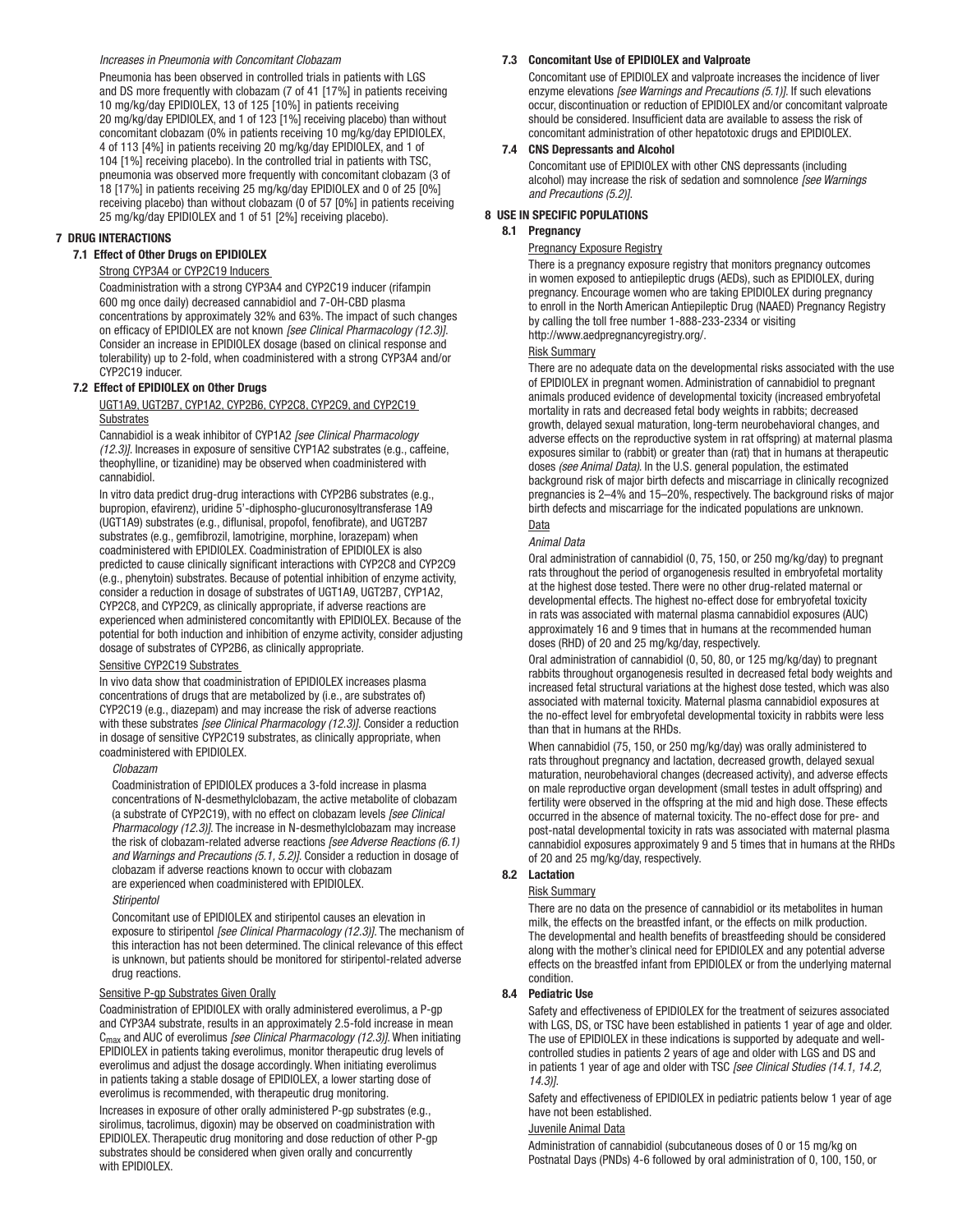#### *Increases in Pneumonia with Concomitant Clobazam*

Pneumonia has been observed in controlled trials in patients with LGS and DS more frequently with clobazam (7 of 41 [17%] in patients receiving 10 mg/kg/day EPIDIOLEX, 13 of 125 [10%] in patients receiving 20 mg/kg/day EPIDIOLEX, and 1 of 123 [1%] receiving placebo) than without concomitant clobazam (0% in patients receiving 10 mg/kg/day EPIDIOLEX, 4 of 113 [4%] in patients receiving 20 mg/kg/day EPIDIOLEX, and 1 of 104 [1%] receiving placebo). In the controlled trial in patients with TSC, pneumonia was observed more frequently with concomitant clobazam (3 of 18 [17%] in patients receiving 25 mg/kg/day EPIDIOLEX and 0 of 25 [0%] receiving placebo) than without clobazam (0 of 57 [0%] in patients receiving 25 mg/kg/day EPIDIOLEX and 1 of 51 [2%] receiving placebo).

#### 7 DRUG INTERACTIONS

## 7.1 Effect of Other Drugs on EPIDIOLEX

## Strong CYP3A4 or CYP2C19 Inducers

Coadministration with a strong CYP3A4 and CYP2C19 inducer (rifampin 600 mg once daily) decreased cannabidiol and 7-OH-CBD plasma concentrations by approximately 32% and 63%. The impact of such changes on efficacy of EPIDIOLEX are not known *[see Clinical Pharmacology (12.3)]*. Consider an increase in EPIDIOLEX dosage (based on clinical response and tolerability) up to 2-fold, when coadministered with a strong CYP3A4 and/or CYP2C19 inducer.

#### 7.2 Effect of EPIDIOLEX on Other Drugs

UGT1A9, UGT2B7, CYP1A2, CYP2B6, CYP2C8, CYP2C9, and CYP2C19 **Substrates** 

Cannabidiol is a weak inhibitor of CYP1A2 *[see Clinical Pharmacology (12.3)]*. Increases in exposure of sensitive CYP1A2 substrates (e.g., caffeine, theophylline, or tizanidine) may be observed when coadministered with cannabidiol.

In vitro data predict drug-drug interactions with CYP2B6 substrates (e.g., bupropion, efavirenz), uridine 5'-diphospho-glucuronosyltransferase 1A9 (UGT1A9) substrates (e.g., diflunisal, propofol, fenofibrate), and UGT2B7 substrates (e.g., gemfibrozil, lamotrigine, morphine, lorazepam) when coadministered with EPIDIOLEX. Coadministration of EPIDIOLEX is also predicted to cause clinically significant interactions with CYP2C8 and CYP2C9 (e.g., phenytoin) substrates. Because of potential inhibition of enzyme activity, consider a reduction in dosage of substrates of UGT1A9, UGT2B7, CYP1A2, CYP2C8, and CYP2C9, as clinically appropriate, if adverse reactions are experienced when administered concomitantly with EPIDIOLEX. Because of the potential for both induction and inhibition of enzyme activity, consider adjusting dosage of substrates of CYP2B6, as clinically appropriate.

#### Sensitive CYP2C19 Substrates

In vivo data show that coadministration of EPIDIOLEX increases plasma concentrations of drugs that are metabolized by (i.e., are substrates of) CYP2C19 (e.g., diazepam) and may increase the risk of adverse reactions with these substrates *[see Clinical Pharmacology (12.3)]*. Consider a reduction in dosage of sensitive CYP2C19 substrates, as clinically appropriate, when coadministered with EPIDIOLEX.

#### *Clobazam*

Coadministration of EPIDIOLEX produces a 3-fold increase in plasma concentrations of N-desmethylclobazam, the active metabolite of clobazam (a substrate of CYP2C19), with no effect on clobazam levels *[see Clinical Pharmacology (12.3)]*. The increase in N-desmethylclobazam may increase the risk of clobazam-related adverse reactions *[see Adverse Reactions (6.1) and Warnings and Precautions (5.1, 5.2)]*. Consider a reduction in dosage of clobazam if adverse reactions known to occur with clobazam are experienced when coadministered with EPIDIOLEX.

#### *Stiripentol*

Concomitant use of EPIDIOLEX and stiripentol causes an elevation in exposure to stiripentol *[see Clinical Pharmacology (12.3)]*. The mechanism of this interaction has not been determined. The clinical relevance of this effect is unknown, but patients should be monitored for stiripentol-related adverse drug reactions.

#### Sensitive P-gp Substrates Given Orally

Coadministration of EPIDIOLEX with orally administered everolimus, a P-gp and CYP3A4 substrate, results in an approximately 2.5-fold increase in mean Cmax and AUC of everolimus *[see Clinical Pharmacology (12.3)]*. When initiating EPIDIOLEX in patients taking everolimus, monitor therapeutic drug levels of everolimus and adjust the dosage accordingly. When initiating everolimus in patients taking a stable dosage of EPIDIOLEX, a lower starting dose of everolimus is recommended, with therapeutic drug monitoring.

Increases in exposure of other orally administered P-gp substrates (e.g., sirolimus, tacrolimus, digoxin) may be observed on coadministration with EPIDIOLEX. Therapeutic drug monitoring and dose reduction of other P-gp substrates should be considered when given orally and concurrently with EPIDIOLEX.

#### 7.3 Concomitant Use of EPIDIOLEX and Valproate

Concomitant use of EPIDIOLEX and valproate increases the incidence of liver enzyme elevations *[see Warnings and Precautions (5.1)]*. If such elevations occur, discontinuation or reduction of EPIDIOLEX and/or concomitant valproate should be considered. Insufficient data are available to assess the risk of concomitant administration of other hepatotoxic drugs and EPIDIOLEX.

#### 7.4 CNS Depressants and Alcohol

Concomitant use of EPIDIOLEX with other CNS depressants (including alcohol) may increase the risk of sedation and somnolence *[see Warnings and Precautions (5.2)]*.

#### 8 USE IN SPECIFIC POPULATIONS

#### 8.1 Pregnancy

#### Pregnancy Exposure Registry

There is a pregnancy exposure registry that monitors pregnancy outcomes in women exposed to antiepileptic drugs (AEDs), such as EPIDIOLEX, during pregnancy. Encourage women who are taking EPIDIOLEX during pregnancy to enroll in the North American Antiepileptic Drug (NAAED) Pregnancy Registry by calling the toll free number 1-888-233-2334 or visiting http://www.aedpregnancyregistry.org/.

#### Risk Summary

There are no adequate data on the developmental risks associated with the use of EPIDIOLEX in pregnant women. Administration of cannabidiol to pregnant animals produced evidence of developmental toxicity (increased embryofetal mortality in rats and decreased fetal body weights in rabbits; decreased growth, delayed sexual maturation, long-term neurobehavioral changes, and adverse effects on the reproductive system in rat offspring) at maternal plasma exposures similar to (rabbit) or greater than (rat) that in humans at therapeutic doses *(see Animal Data)*. In the U.S. general population, the estimated background risk of major birth defects and miscarriage in clinically recognized pregnancies is 2–4% and 15–20%, respectively. The background risks of major birth defects and miscarriage for the indicated populations are unknown. Data

## *Animal Data*

Oral administration of cannabidiol (0, 75, 150, or 250 mg/kg/day) to pregnant rats throughout the period of organogenesis resulted in embryofetal mortality at the highest dose tested. There were no other drug-related maternal or developmental effects. The highest no-effect dose for embryofetal toxicity in rats was associated with maternal plasma cannabidiol exposures (AUC) approximately 16 and 9 times that in humans at the recommended human doses (RHD) of 20 and 25 mg/kg/day, respectively.

Oral administration of cannabidiol (0, 50, 80, or 125 mg/kg/day) to pregnant rabbits throughout organogenesis resulted in decreased fetal body weights and increased fetal structural variations at the highest dose tested, which was also associated with maternal toxicity. Maternal plasma cannabidiol exposures at the no-effect level for embryofetal developmental toxicity in rabbits were less than that in humans at the RHDs.

When cannabidiol (75, 150, or 250 mg/kg/day) was orally administered to rats throughout pregnancy and lactation, decreased growth, delayed sexual maturation, neurobehavioral changes (decreased activity), and adverse effects on male reproductive organ development (small testes in adult offspring) and fertility were observed in the offspring at the mid and high dose. These effects occurred in the absence of maternal toxicity. The no-effect dose for pre- and post-natal developmental toxicity in rats was associated with maternal plasma cannabidiol exposures approximately 9 and 5 times that in humans at the RHDs of 20 and 25 mg/kg/day, respectively.

#### 8.2 Lactation

### Risk Summary

There are no data on the presence of cannabidiol or its metabolites in human milk, the effects on the breastfed infant, or the effects on milk production. The developmental and health benefits of breastfeeding should be considered along with the mother's clinical need for EPIDIOLEX and any potential adverse effects on the breastfed infant from EPIDIOLEX or from the underlying maternal condition.

#### 8.4 Pediatric Use

Safety and effectiveness of EPIDIOLEX for the treatment of seizures associated with LGS, DS, or TSC have been established in patients 1 year of age and older. The use of EPIDIOLEX in these indications is supported by adequate and wellcontrolled studies in patients 2 years of age and older with LGS and DS and in patients 1 year of age and older with TSC *[see Clinical Studies (14.1, 14.2, 14.3)]*.

Safety and effectiveness of EPIDIOLEX in pediatric patients below 1 year of age have not been established.

#### Juvenile Animal Data

Administration of cannabidiol (subcutaneous doses of 0 or 15 mg/kg on Postnatal Days (PNDs) 4-6 followed by oral administration of 0, 100, 150, or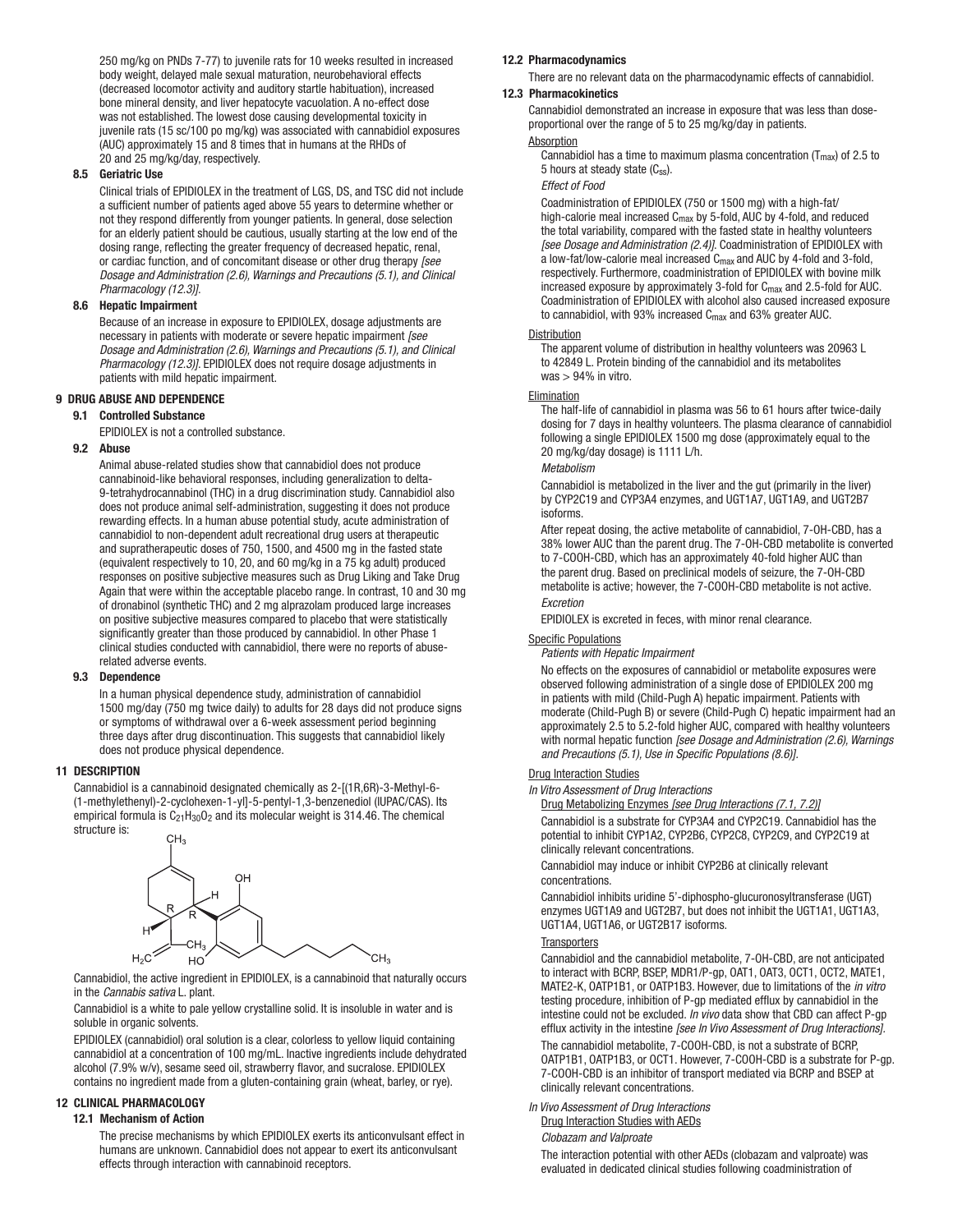250 mg/kg on PNDs 7-77) to juvenile rats for 10 weeks resulted in increased body weight, delayed male sexual maturation, neurobehavioral effects (decreased locomotor activity and auditory startle habituation), increased bone mineral density, and liver hepatocyte vacuolation. A no-effect dose was not established. The lowest dose causing developmental toxicity in juvenile rats (15 sc/100 po mg/kg) was associated with cannabidiol exposures (AUC) approximately 15 and 8 times that in humans at the RHDs of 20 and 25 mg/kg/day, respectively.

#### 8.5 Geriatric Use

Clinical trials of EPIDIOLEX in the treatment of LGS, DS, and TSC did not include a sufficient number of patients aged above 55 years to determine whether or not they respond differently from younger patients. In general, dose selection for an elderly patient should be cautious, usually starting at the low end of the dosing range, reflecting the greater frequency of decreased hepatic, renal, or cardiac function, and of concomitant disease or other drug therapy *[see Dosage and Administration (2.6), Warnings and Precautions (5.1), and Clinical Pharmacology (12.3)]*.

## 8.6 Hepatic Impairment

Because of an increase in exposure to EPIDIOLEX, dosage adjustments are necessary in patients with moderate or severe hepatic impairment *[see Dosage and Administration (2.6), Warnings and Precautions (5.1), and Clinical Pharmacology (12.3)]*. EPIDIOLEX does not require dosage adjustments in patients with mild hepatic impairment.

#### 9 DRUG ABUSE AND DEPENDENCE

### 9.1 Controlled Substance

EPIDIOLEX is not a controlled substance.

#### 9.2 Abuse

Animal abuse-related studies show that cannabidiol does not produce cannabinoid-like behavioral responses, including generalization to delta-9-tetrahydrocannabinol (THC) in a drug discrimination study. Cannabidiol also does not produce animal self-administration, suggesting it does not produce rewarding effects. In a human abuse potential study, acute administration of cannabidiol to non-dependent adult recreational drug users at therapeutic and supratherapeutic doses of 750, 1500, and 4500 mg in the fasted state (equivalent respectively to 10, 20, and 60 mg/kg in a 75 kg adult) produced responses on positive subjective measures such as Drug Liking and Take Drug Again that were within the acceptable placebo range. In contrast, 10 and 30 mg of dronabinol (synthetic THC) and 2 mg alprazolam produced large increases on positive subjective measures compared to placebo that were statistically significantly greater than those produced by cannabidiol. In other Phase 1 clinical studies conducted with cannabidiol, there were no reports of abuserelated adverse events.

#### 9.3 Dependence

In a human physical dependence study, administration of cannabidiol 1500 mg/day (750 mg twice daily) to adults for 28 days did not produce signs or symptoms of withdrawal over a 6-week assessment period beginning three days after drug discontinuation. This suggests that cannabidiol likely does not produce physical dependence.

#### 11 DESCRIPTION

Cannabidiol is a cannabinoid designated chemically as 2-[(1R,6R)-3-Methyl-6- (1-methylethenyl)-2-cyclohexen-1-yl]-5-pentyl-1,3-benzenediol (IUPAC/CAS). Its empirical formula is  $C_{21}H_{30}O_2$  and its molecular weight is 314.46. The chemical structure is:



Cannabidiol, the active ingredient in EPIDIOLEX, is a cannabinoid that naturally occurs in the *Cannabis sativa* L. plant.

Cannabidiol is a white to pale yellow crystalline solid. It is insoluble in water and is soluble in organic solvents.

EPIDIOLEX (cannabidiol) oral solution is a clear, colorless to yellow liquid containing cannabidiol at a concentration of 100 mg/mL. Inactive ingredients include dehydrated alcohol (7.9% w/v), sesame seed oil, strawberry flavor, and sucralose. EPIDIOLEX contains no ingredient made from a gluten-containing grain (wheat, barley, or rye).

#### 12 CLINICAL PHARMACOLOGY

### 12.1 Mechanism of Action

The precise mechanisms by which EPIDIOLEX exerts its anticonvulsant effect in humans are unknown. Cannabidiol does not appear to exert its anticonvulsant effects through interaction with cannabinoid receptors.

#### 12.2 Pharmacodynamics

There are no relevant data on the pharmacodynamic effects of cannabidiol. 12.3 Pharmacokinetics

#### Cannabidiol demonstrated an increase in exposure that was less than doseproportional over the range of 5 to 25 mg/kg/day in patients.

#### **Absorption**

Cannabidiol has a time to maximum plasma concentration ( $T_{\text{max}}$ ) of 2.5 to 5 hours at steady state  $(C_{ss})$ .

#### *Effect of Food*

Coadministration of EPIDIOLEX (750 or 1500 mg) with a high-fat/ high-calorie meal increased C<sub>max</sub> by 5-fold, AUC by 4-fold, and reduced the total variability, compared with the fasted state in healthy volunteers *[see Dosage and Administration (2.4)]*. Coadministration of EPIDIOLEX with a low-fat/low-calorie meal increased Cmax and AUC by 4-fold and 3-fold, respectively. Furthermore, coadministration of EPIDIOLEX with bovine milk increased exposure by approximately 3-fold for  $C_{\text{max}}$  and 2.5-fold for AUC. Coadministration of EPIDIOLEX with alcohol also caused increased exposure to cannabidiol, with 93% increased  $C_{\text{max}}$  and 63% greater AUC.

#### **Distribution**

The apparent volume of distribution in healthy volunteers was 20963 L to 42849 L. Protein binding of the cannabidiol and its metabolites  $was > 94\%$  in vitro.

#### **Elimination**

The half-life of cannabidiol in plasma was 56 to 61 hours after twice-daily dosing for 7 days in healthy volunteers. The plasma clearance of cannabidiol following a single EPIDIOLEX 1500 mg dose (approximately equal to the 20 mg/kg/day dosage) is 1111 L/h.

#### *Metabolism*

Cannabidiol is metabolized in the liver and the gut (primarily in the liver) by CYP2C19 and CYP3A4 enzymes, and UGT1A7, UGT1A9, and UGT2B7 isoforms.

After repeat dosing, the active metabolite of cannabidiol, 7-OH-CBD, has a 38% lower AUC than the parent drug. The 7-OH-CBD metabolite is converted to 7-COOH-CBD, which has an approximately 40-fold higher AUC than the parent drug. Based on preclinical models of seizure, the 7-OH-CBD metabolite is active; however, the 7-COOH-CBD metabolite is not active. *Excretion*

EPIDIOLEX is excreted in feces, with minor renal clearance.

#### Specific Populations

*Patients with Hepatic Impairment*

No effects on the exposures of cannabidiol or metabolite exposures were observed following administration of a single dose of EPIDIOLEX 200 mg in patients with mild (Child-Pugh A) hepatic impairment. Patients with moderate (Child-Pugh B) or severe (Child-Pugh C) hepatic impairment had an approximately 2.5 to 5.2-fold higher AUC, compared with healthy volunteers with normal hepatic function *[see Dosage and Administration (2.6), Warnings and Precautions (5.1), Use in Specific Populations (8.6)].*

#### **Drug Interaction Studies**

*In Vitro Assessment of Drug Interactions*

Drug Metabolizing Enzymes *[see Drug Interactions (7.1, 7.2)]* Cannabidiol is a substrate for CYP3A4 and CYP2C19. Cannabidiol has the potential to inhibit CYP1A2, CYP2B6, CYP2C8, CYP2C9, and CYP2C19 at clinically relevant concentrations.

Cannabidiol may induce or inhibit CYP2B6 at clinically relevant concentrations.

Cannabidiol inhibits uridine 5'-diphospho-glucuronosyltransferase (UGT) enzymes UGT1A9 and UGT2B7, but does not inhibit the UGT1A1, UGT1A3, UGT1A4, UGT1A6, or UGT2B17 isoforms.

#### **Transporters**

Cannabidiol and the cannabidiol metabolite, 7-OH-CBD, are not anticipated to interact with BCRP, BSEP, MDR1/P-gp, OAT1, OAT3, OCT1, OCT2, MATE1, MATE2-K, OATP1B1, or OATP1B3. However, due to limitations of the *in vitro* testing procedure, inhibition of P-gp mediated efflux by cannabidiol in the intestine could not be excluded. *In vivo* data show that CBD can affect P-gp efflux activity in the intestine *[see In Vivo Assessment of Drug Interactions].*

The cannabidiol metabolite, 7-COOH-CBD, is not a substrate of BCRP, OATP1B1, OATP1B3, or OCT1. However, 7-COOH-CBD is a substrate for P-gp. 7-COOH-CBD is an inhibitor of transport mediated via BCRP and BSEP at clinically relevant concentrations.

*In Vivo Assessment of Drug Interactions* Drug Interaction Studies with AEDs

*Clobazam and Valproate*

The interaction potential with other AEDs (clobazam and valproate) was evaluated in dedicated clinical studies following coadministration of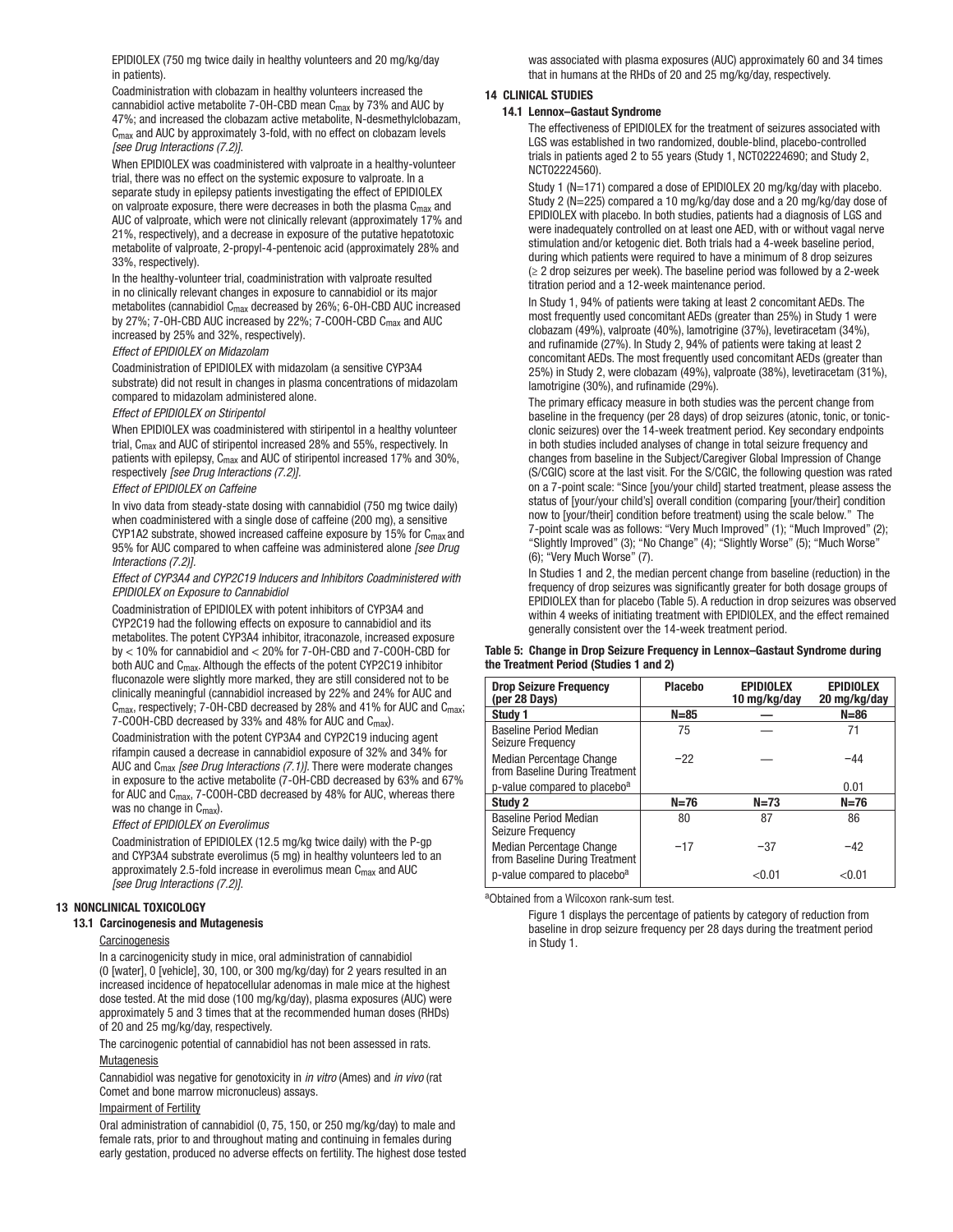EPIDIOLEX (750 mg twice daily in healthy volunteers and 20 mg/kg/day in patients).

Coadministration with clobazam in healthy volunteers increased the cannabidiol active metabolite 7-OH-CBD mean C<sub>max</sub> by 73% and AUC by 47%; and increased the clobazam active metabolite, N-desmethylclobazam, Cmax and AUC by approximately 3-fold, with no effect on clobazam levels *[see Drug Interactions (7.2)]*.

When EPIDIOLEX was coadministered with valproate in a healthy-volunteer trial, there was no effect on the systemic exposure to valproate. In a separate study in epilepsy patients investigating the effect of EPIDIOLEX on valproate exposure, there were decreases in both the plasma Cmax and AUC of valproate, which were not clinically relevant (approximately 17% and 21%, respectively), and a decrease in exposure of the putative hepatotoxic metabolite of valproate, 2-propyl-4-pentenoic acid (approximately 28% and 33%, respectively).

In the healthy-volunteer trial, coadministration with valproate resulted in no clinically relevant changes in exposure to cannabidiol or its major metabolites (cannabidiol Cmax decreased by 26%; 6-OH-CBD AUC increased by 27%; 7-OH-CBD AUC increased by 22%; 7-COOH-CBD C<sub>max</sub> and AUC increased by 25% and 32%, respectively).

#### *Effect of EPIDIOLEX on Midazolam*

Coadministration of EPIDIOLEX with midazolam (a sensitive CYP3A4 substrate) did not result in changes in plasma concentrations of midazolam compared to midazolam administered alone.

#### *Effect of EPIDIOLEX on Stiripentol*

When EPIDIOLEX was coadministered with stiripentol in a healthy volunteer trial, Cmax and AUC of stiripentol increased 28% and 55%, respectively. In patients with epilepsy, C<sub>max</sub> and AUC of stiripentol increased 17% and 30%, respectively *[see Drug Interactions (7.2)].*

#### *Effect of EPIDIOLEX on Caffeine*

In vivo data from steady-state dosing with cannabidiol (750 mg twice daily) when coadministered with a single dose of caffeine (200 mg), a sensitive CYP1A2 substrate, showed increased caffeine exposure by 15% for Cmax and 95% for AUC compared to when caffeine was administered alone *[see Drug Interactions (7.2)].* 

*Effect of CYP3A4 and CYP2C19 Inducers and Inhibitors Coadministered with EPIDIOLEX on Exposure to Cannabidiol*

Coadministration of EPIDIOLEX with potent inhibitors of CYP3A4 and CYP2C19 had the following effects on exposure to cannabidiol and its metabolites. The potent CYP3A4 inhibitor, itraconazole, increased exposure by < 10% for cannabidiol and < 20% for 7-OH-CBD and 7-COOH-CBD for both AUC and C<sub>max</sub>. Although the effects of the potent CYP2C19 inhibitor fluconazole were slightly more marked, they are still considered not to be clinically meaningful (cannabidiol increased by 22% and 24% for AUC and  $C_{\text{max}}$ , respectively; 7-OH-CBD decreased by 28% and 41% for AUC and  $C_{\text{max}}$ ; 7-COOH-CBD decreased by 33% and 48% for AUC and C<sub>max</sub>).

Coadministration with the potent CYP3A4 and CYP2C19 inducing agent rifampin caused a decrease in cannabidiol exposure of 32% and 34% for AUC and Cmax *[see Drug Interactions (7.1)].* There were moderate changes in exposure to the active metabolite (7-OH-CBD decreased by 63% and 67% for AUC and Cmax, 7-COOH-CBD decreased by 48% for AUC, whereas there was no change in C<sub>max</sub>).

#### *Effect of EPIDIOLEX on Everolimus*

Coadministration of EPIDIOLEX (12.5 mg/kg twice daily) with the P-gp and CYP3A4 substrate everolimus (5 mg) in healthy volunteers led to an approximately 2.5-fold increase in everolimus mean  $C_{\text{max}}$  and AUC *[see Drug Interactions (7.2)]*.

#### 13 NONCLINICAL TOXICOLOGY

#### 13.1 Carcinogenesis and Mutagenesis

#### **Carcinogenesis**

In a carcinogenicity study in mice, oral administration of cannabidiol (0 [water], 0 [vehicle], 30, 100, or 300 mg/kg/day) for 2 years resulted in an increased incidence of hepatocellular adenomas in male mice at the highest dose tested. At the mid dose (100 mg/kg/day), plasma exposures (AUC) were approximately 5 and 3 times that at the recommended human doses (RHDs) of 20 and 25 mg/kg/day, respectively.

The carcinogenic potential of cannabidiol has not been assessed in rats. **Mutagenesis** 

Cannabidiol was negative for genotoxicity in *in vitro* (Ames) and *in vivo* (rat Comet and bone marrow micronucleus) assays.

#### Impairment of Fertility

Oral administration of cannabidiol (0, 75, 150, or 250 mg/kg/day) to male and female rats, prior to and throughout mating and continuing in females during early gestation, produced no adverse effects on fertility. The highest dose tested was associated with plasma exposures (AUC) approximately 60 and 34 times that in humans at the RHDs of 20 and 25 mg/kg/day, respectively.

### 14 CLINICAL STUDIES

#### 14.1 Lennox–Gastaut Syndrome

The effectiveness of EPIDIOLEX for the treatment of seizures associated with LGS was established in two randomized, double-blind, placebo-controlled trials in patients aged 2 to 55 years (Study 1, NCT02224690; and Study 2, NCT02224560).

Study 1 (N=171) compared a dose of EPIDIOLEX 20 mg/kg/day with placebo. Study 2 (N=225) compared a 10 mg/kg/day dose and a 20 mg/kg/day dose of EPIDIOLEX with placebo. In both studies, patients had a diagnosis of LGS and were inadequately controlled on at least one AED, with or without vagal nerve stimulation and/or ketogenic diet. Both trials had a 4-week baseline period, during which patients were required to have a minimum of 8 drop seizures  $(≥ 2$  drop seizures per week). The baseline period was followed by a 2-week titration period and a 12-week maintenance period.

In Study 1, 94% of patients were taking at least 2 concomitant AEDs. The most frequently used concomitant AEDs (greater than 25%) in Study 1 were clobazam (49%), valproate (40%), lamotrigine (37%), levetiracetam (34%), and rufinamide (27%). In Study 2, 94% of patients were taking at least 2 concomitant AEDs. The most frequently used concomitant AEDs (greater than 25%) in Study 2, were clobazam (49%), valproate (38%), levetiracetam (31%), lamotrigine (30%), and rufinamide (29%).

The primary efficacy measure in both studies was the percent change from baseline in the frequency (per 28 days) of drop seizures (atonic, tonic, or tonicclonic seizures) over the 14-week treatment period. Key secondary endpoints in both studies included analyses of change in total seizure frequency and changes from baseline in the Subject/Caregiver Global Impression of Change (S/CGIC) score at the last visit. For the S/CGIC, the following question was rated on a 7-point scale: "Since [you/your child] started treatment, please assess the status of [your/your child's] overall condition (comparing [your/their] condition now to [your/their] condition before treatment) using the scale below." The 7-point scale was as follows: "Very Much Improved" (1); "Much Improved" (2); "Slightly Improved" (3); "No Change" (4); "Slightly Worse" (5); "Much Worse" (6); "Very Much Worse" (7).

In Studies 1 and 2, the median percent change from baseline (reduction) in the frequency of drop seizures was significantly greater for both dosage groups of EPIDIOLEX than for placebo (Table 5). A reduction in drop seizures was observed within 4 weeks of initiating treatment with EPIDIOLEX, and the effect remained generally consistent over the 14-week treatment period.

#### Table 5: Change in Drop Seizure Frequency in Lennox–Gastaut Syndrome during the Treatment Period (Studies 1 and 2)

| <b>Drop Seizure Frequency</b><br>(per 28 Days)             | <b>Placebo</b> | <b>EPIDIOLEX</b><br>10 mg/kg/day | <b>EPIDIOLEX</b><br>20 mg/kg/day |
|------------------------------------------------------------|----------------|----------------------------------|----------------------------------|
| Study 1                                                    | $N = 85$       |                                  | $N = 86$                         |
| <b>Baseline Period Median</b><br>Seizure Frequency         | 75             |                                  | 71                               |
| Median Percentage Change<br>from Baseline During Treatment | $-22$          |                                  | $-44$                            |
| p-value compared to placebo <sup>a</sup>                   |                |                                  | 0.01                             |
| Study 2                                                    | $N=76$         | $N=73$                           | $N=76$                           |
| <b>Baseline Period Median</b><br>Seizure Frequency         | 80             | 87                               | 86                               |
| Median Percentage Change<br>from Baseline During Treatment | $-17$          | $-37$                            | $-42$                            |
| p-value compared to placebo <sup>a</sup>                   |                | < 0.01                           | < 0.01                           |

aObtained from a Wilcoxon rank-sum test.

Figure 1 displays the percentage of patients by category of reduction from baseline in drop seizure frequency per 28 days during the treatment period in Study 1.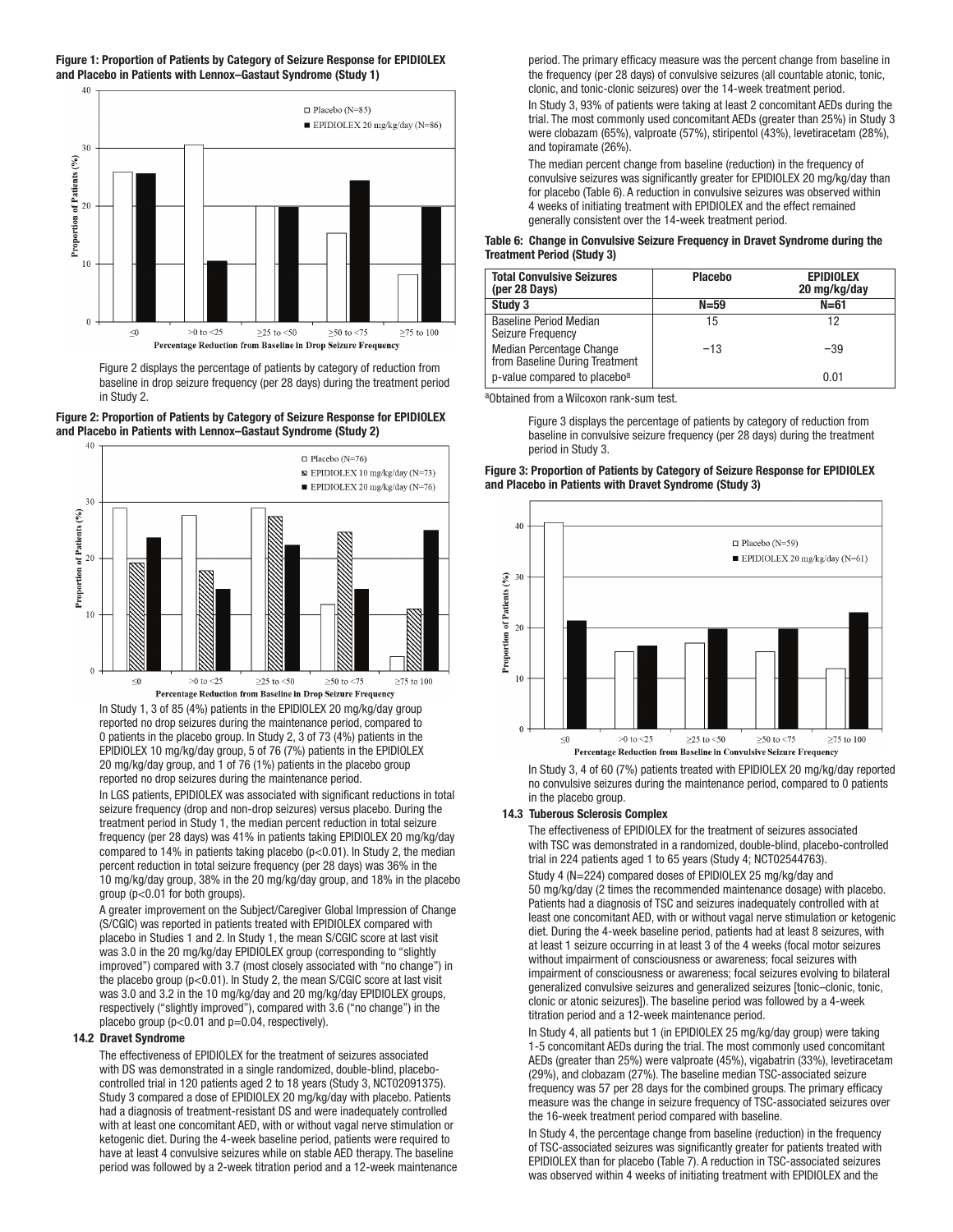#### Figure 1: Proportion of Patients by Category of Seizure Response for EPIDIOLEX and Placebo in Patients with Lennox–Gastaut Syndrome (Study 1)



Figure 2 displays the percentage of patients by category of reduction from baseline in drop seizure frequency (per 28 days) during the treatment period in Study 2.

#### Figure 2: Proportion of Patients by Category of Seizure Response for EPIDIOLEX and Placebo in Patients with Lennox–Gastaut Syndrome (Study 2)



In Study 1, 3 of 85 (4%) patients in the EPIDIOLEX 20 mg/kg/day group reported no drop seizures during the maintenance period, compared to 0 patients in the placebo group. In Study 2, 3 of 73 (4%) patients in the EPIDIOLEX 10 mg/kg/day group, 5 of 76 (7%) patients in the EPIDIOLEX 20 mg/kg/day group, and 1 of 76 (1%) patients in the placebo group reported no drop seizures during the maintenance period.

In LGS patients, EPIDIOLEX was associated with significant reductions in total seizure frequency (drop and non-drop seizures) versus placebo. During the treatment period in Study 1, the median percent reduction in total seizure frequency (per 28 days) was 41% in patients taking EPIDIOLEX 20 mg/kg/day compared to 14% in patients taking placebo (p<0.01). In Study 2, the median percent reduction in total seizure frequency (per 28 days) was 36% in the 10 mg/kg/day group, 38% in the 20 mg/kg/day group, and 18% in the placebo group (p<0.01 for both groups).

A greater improvement on the Subject/Caregiver Global Impression of Change (S/CGIC) was reported in patients treated with EPIDIOLEX compared with placebo in Studies 1 and 2. In Study 1, the mean S/CGIC score at last visit was 3.0 in the 20 mg/kg/day EPIDIOLEX group (corresponding to "slightly improved") compared with 3.7 (most closely associated with "no change") in the placebo group (p<0.01). In Study 2, the mean S/CGIC score at last visit was 3.0 and 3.2 in the 10 mg/kg/day and 20 mg/kg/day EPIDIOLEX groups, respectively ("slightly improved"), compared with 3.6 ("no change") in the placebo group ( $p<0.01$  and  $p=0.04$ , respectively).

#### 14.2 Dravet Syndrome

The effectiveness of EPIDIOLEX for the treatment of seizures associated with DS was demonstrated in a single randomized, double-blind, placebocontrolled trial in 120 patients aged 2 to 18 years (Study 3, NCT02091375). Study 3 compared a dose of EPIDIOLEX 20 mg/kg/day with placebo. Patients had a diagnosis of treatment-resistant DS and were inadequately controlled with at least one concomitant AED, with or without vagal nerve stimulation or ketogenic diet. During the 4-week baseline period, patients were required to have at least 4 convulsive seizures while on stable AED therapy. The baseline period was followed by a 2-week titration period and a 12-week maintenance

period. The primary efficacy measure was the percent change from baseline in the frequency (per 28 days) of convulsive seizures (all countable atonic, tonic, clonic, and tonic-clonic seizures) over the 14-week treatment period.

In Study 3, 93% of patients were taking at least 2 concomitant AEDs during the trial. The most commonly used concomitant AEDs (greater than 25%) in Study 3 were clobazam (65%), valproate (57%), stiripentol (43%), levetiracetam (28%), and topiramate (26%).

The median percent change from baseline (reduction) in the frequency of convulsive seizures was significantly greater for EPIDIOLEX 20 mg/kg/day than for placebo (Table 6). A reduction in convulsive seizures was observed within 4 weeks of initiating treatment with EPIDIOLEX and the effect remained generally consistent over the 14-week treatment period.

#### Table 6: Change in Convulsive Seizure Frequency in Dravet Syndrome during the Treatment Period (Study 3)

| <b>Total Convulsive Seizures</b><br>(per 28 Days)          | <b>Placebo</b> | <b>EPIDIOLEX</b><br>20 mg/kg/day |
|------------------------------------------------------------|----------------|----------------------------------|
| Study 3                                                    | $N = 59$       | $N = 61$                         |
| <b>Baseline Period Median</b><br>Seizure Frequency         | 15             | 12                               |
| Median Percentage Change<br>from Baseline During Treatment | $-13$          | $-39$                            |
| p-value compared to placebo <sup>a</sup>                   |                | 0.01                             |

aObtained from a Wilcoxon rank-sum test.

Figure 3 displays the percentage of patients by category of reduction from baseline in convulsive seizure frequency (per 28 days) during the treatment period in Study 3.

#### Figure 3: Proportion of Patients by Category of Seizure Response for EPIDIOLEX and Placebo in Patients with Dravet Syndrome (Study 3)



In Study 3, 4 of 60 (7%) patients treated with EPIDIOLEX 20 mg/kg/day reported no convulsive seizures during the maintenance period, compared to 0 patients in the placebo group.

#### 14.3 Tuberous Sclerosis Complex

The effectiveness of EPIDIOLEX for the treatment of seizures associated with TSC was demonstrated in a randomized, double-blind, placebo-controlled trial in 224 patients aged 1 to 65 years (Study 4; NCT02544763). Study 4 (N=224) compared doses of EPIDIOLEX 25 mg/kg/day and 50 mg/kg/day (2 times the recommended maintenance dosage) with placebo. Patients had a diagnosis of TSC and seizures inadequately controlled with at least one concomitant AED, with or without vagal nerve stimulation or ketogenic diet. During the 4-week baseline period, patients had at least 8 seizures, with at least 1 seizure occurring in at least 3 of the 4 weeks (focal motor seizures without impairment of consciousness or awareness; focal seizures with impairment of consciousness or awareness; focal seizures evolving to bilateral generalized convulsive seizures and generalized seizures [tonic–clonic, tonic, clonic or atonic seizures]). The baseline period was followed by a 4-week titration period and a 12-week maintenance period.

In Study 4, all patients but 1 (in EPIDIOLEX 25 mg/kg/day group) were taking 1-5 concomitant AEDs during the trial. The most commonly used concomitant AEDs (greater than 25%) were valproate (45%), vigabatrin (33%), levetiracetam (29%), and clobazam (27%). The baseline median TSC-associated seizure frequency was 57 per 28 days for the combined groups. The primary efficacy measure was the change in seizure frequency of TSC-associated seizures over the 16-week treatment period compared with baseline.

In Study 4, the percentage change from baseline (reduction) in the frequency of TSC-associated seizures was significantly greater for patients treated with EPIDIOLEX than for placebo (Table 7). A reduction in TSC-associated seizures was observed within 4 weeks of initiating treatment with EPIDIOLEX and the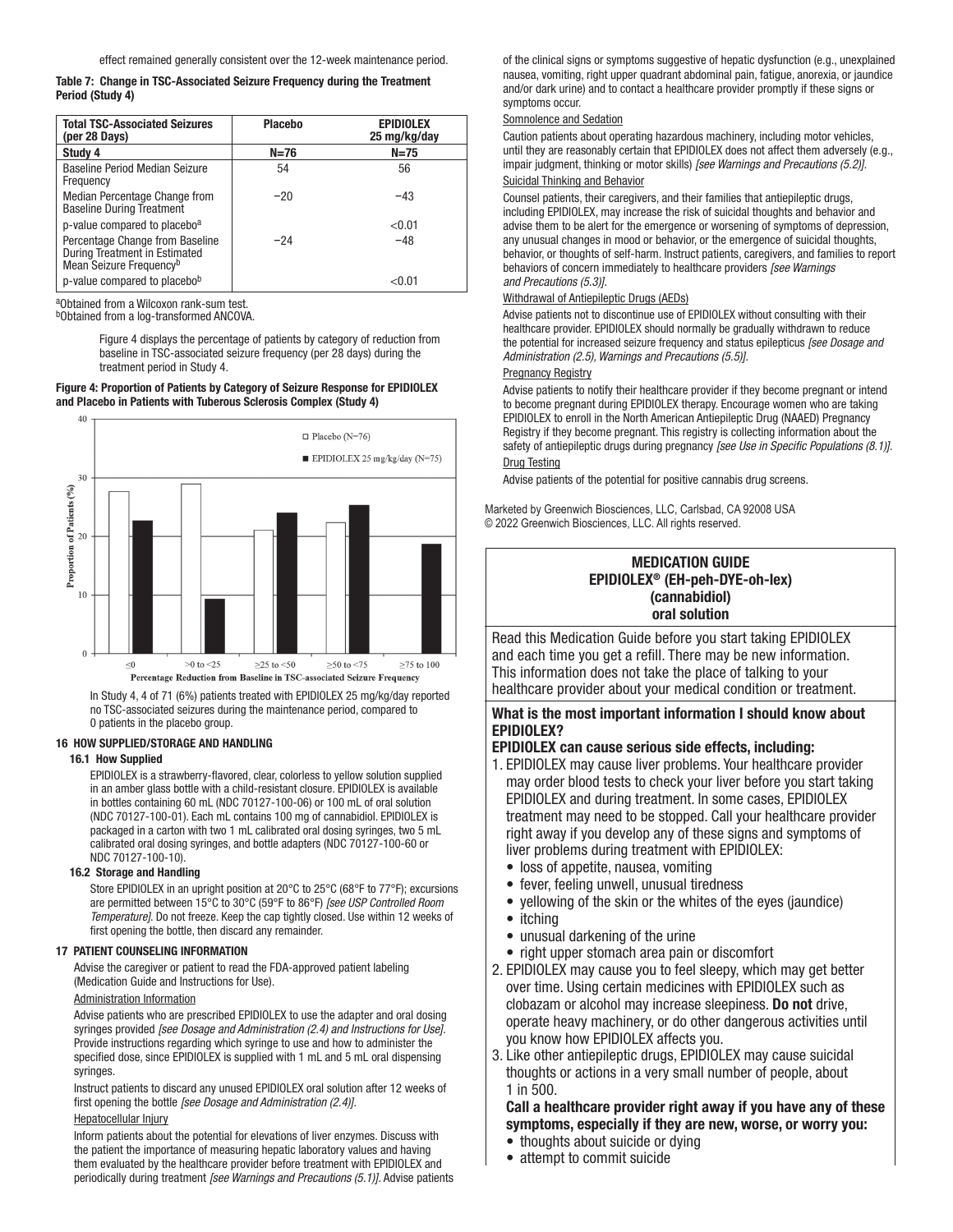#### Table 7: Change in TSC-Associated Seizure Frequency during the Treatment Period (Study 4)

| <b>Total TSC-Associated Seizures</b><br>(per 28 Days)                                                   | <b>Placebo</b> | <b>EPIDIOLEX</b><br>25 mg/kg/day |
|---------------------------------------------------------------------------------------------------------|----------------|----------------------------------|
| Study 4                                                                                                 | $N=76$         | $N=75$                           |
| Baseline Period Median Seizure<br>Frequency                                                             | 54             | 56                               |
| Median Percentage Change from<br><b>Baseline During Treatment</b>                                       | $-20$          | $-43$                            |
| p-value compared to placebo <sup>a</sup>                                                                |                | < 0.01                           |
| Percentage Change from Baseline<br>During Treatment in Estimated<br>Mean Seizure Frequency <sup>b</sup> | $-24$          | $-48$                            |
| p-value compared to placebob                                                                            |                | $<$ 0.01 $\,$                    |

aObtained from a Wilcoxon rank-sum test.

bObtained from a log-transformed ANCOVA.

Figure 4 displays the percentage of patients by category of reduction from baseline in TSC-associated seizure frequency (per 28 days) during the treatment period in Study 4.

#### Figure 4: Proportion of Patients by Category of Seizure Response for EPIDIOLEX and Placebo in Patients with Tuberous Sclerosis Complex (Study 4)



In Study 4, 4 of 71 (6%) patients treated with EPIDIOLEX 25 mg/kg/day reported no TSC-associated seizures during the maintenance period, compared to 0 patients in the placebo group.

#### 16 HOW SUPPLIED/STORAGE AND HANDLING

#### 16.1 How Supplied

EPIDIOLEX is a strawberry-flavored, clear, colorless to yellow solution supplied in an amber glass bottle with a child-resistant closure. EPIDIOLEX is available in bottles containing 60 mL (NDC 70127-100-06) or 100 mL of oral solution (NDC 70127-100-01). Each mL contains 100 mg of cannabidiol. EPIDIOLEX is packaged in a carton with two 1 mL calibrated oral dosing syringes, two 5 mL calibrated oral dosing syringes, and bottle adapters (NDC 70127-100-60 or NDC 70127-100-10).

#### 16.2 Storage and Handling

Store EPIDIOLEX in an upright position at 20°C to 25°C (68°F to 77°F); excursions are permitted between 15°C to 30°C (59°F to 86°F) *[see USP Controlled Room Temperature]*. Do not freeze. Keep the cap tightly closed. Use within 12 weeks of first opening the bottle, then discard any remainder.

#### 17 PATIENT COUNSELING INFORMATION

Advise the caregiver or patient to read the FDA-approved patient labeling (Medication Guide and Instructions for Use).

### Administration Information

Advise patients who are prescribed EPIDIOLEX to use the adapter and oral dosing syringes provided *[see Dosage and Administration (2.4) and Instructions for Use].*  Provide instructions regarding which syringe to use and how to administer the specified dose, since EPIDIOLEX is supplied with 1 mL and 5 mL oral dispensing syringes.

Instruct patients to discard any unused EPIDIOLEX oral solution after 12 weeks of first opening the bottle *[see Dosage and Administration (2.4)].*

#### Hepatocellular Injury

Inform patients about the potential for elevations of liver enzymes. Discuss with the patient the importance of measuring hepatic laboratory values and having them evaluated by the healthcare provider before treatment with EPIDIOLEX and periodically during treatment *[see Warnings and Precautions (5.1)].* Advise patients of the clinical signs or symptoms suggestive of hepatic dysfunction (e.g., unexplained nausea, vomiting, right upper quadrant abdominal pain, fatigue, anorexia, or jaundice and/or dark urine) and to contact a healthcare provider promptly if these signs or symptoms occur.

#### Somnolence and Sedation

Caution patients about operating hazardous machinery, including motor vehicles, until they are reasonably certain that EPIDIOLEX does not affect them adversely (e.g., impair judgment, thinking or motor skills) *[see Warnings and Precautions (5.2)].*

## Suicidal Thinking and Behavior

Counsel patients, their caregivers, and their families that antiepileptic drugs, including EPIDIOLEX, may increase the risk of suicidal thoughts and behavior and advise them to be alert for the emergence or worsening of symptoms of depression, any unusual changes in mood or behavior, or the emergence of suicidal thoughts, behavior, or thoughts of self-harm. Instruct patients, caregivers, and families to report behaviors of concern immediately to healthcare providers *[see Warnings and Precautions (5.3)].* 

#### Withdrawal of Antiepileptic Drugs (AEDs)

Advise patients not to discontinue use of EPIDIOLEX without consulting with their healthcare provider. EPIDIOLEX should normally be gradually withdrawn to reduce the potential for increased seizure frequency and status epilepticus *[see Dosage and Administration (2.5), Warnings and Precautions (5.5)].*

#### **Pregnancy Registry**

Advise patients to notify their healthcare provider if they become pregnant or intend to become pregnant during EPIDIOLEX therapy. Encourage women who are taking EPIDIOLEX to enroll in the North American Antiepileptic Drug (NAAED) Pregnancy Registry if they become pregnant. This registry is collecting information about the safety of antiepileptic drugs during pregnancy *[see Use in Specific Populations (8.1)].* Drug Testing

Advise patients of the potential for positive cannabis drug screens.

Marketed by Greenwich Biosciences, LLC, Carlsbad, CA 92008 USA © 2022 Greenwich Biosciences, LLC. All rights reserved.

## MEDICATION GUIDE EPIDIOLEX® (EH-peh-DYE-oh-lex) (cannabidiol) oral solution

Read this Medication Guide before you start taking EPIDIOLEX and each time you get a refill. There may be new information. This information does not take the place of talking to your healthcare provider about your medical condition or treatment.

## What is the most important information I should know about EPIDIOLEX?

## EPIDIOLEX can cause serious side effects, including:

- 1. EPIDIOLEX may cause liver problems. Your healthcare provider may order blood tests to check your liver before you start taking EPIDIOLEX and during treatment. In some cases, EPIDIOLEX treatment may need to be stopped. Call your healthcare provider right away if you develop any of these signs and symptoms of liver problems during treatment with EPIDIOLEX:
	- loss of appetite, nausea, vomiting
	- fever, feeling unwell, unusual tiredness
	- yellowing of the skin or the whites of the eyes (jaundice)
	- itching
	- unusual darkening of the urine
	- right upper stomach area pain or discomfort
- 2. EPIDIOLEX may cause you to feel sleepy, which may get better over time. Using certain medicines with EPIDIOLEX such as clobazam or alcohol may increase sleepiness. Do not drive, operate heavy machinery, or do other dangerous activities until you know how EPIDIOLEX affects you.
- 3. Like other antiepileptic drugs, EPIDIOLEX may cause suicidal thoughts or actions in a very small number of people, about 1 in 500.

## Call a healthcare provider right away if you have any of these symptoms, especially if they are new, worse, or worry you:

- thoughts about suicide or dying
- attempt to commit suicide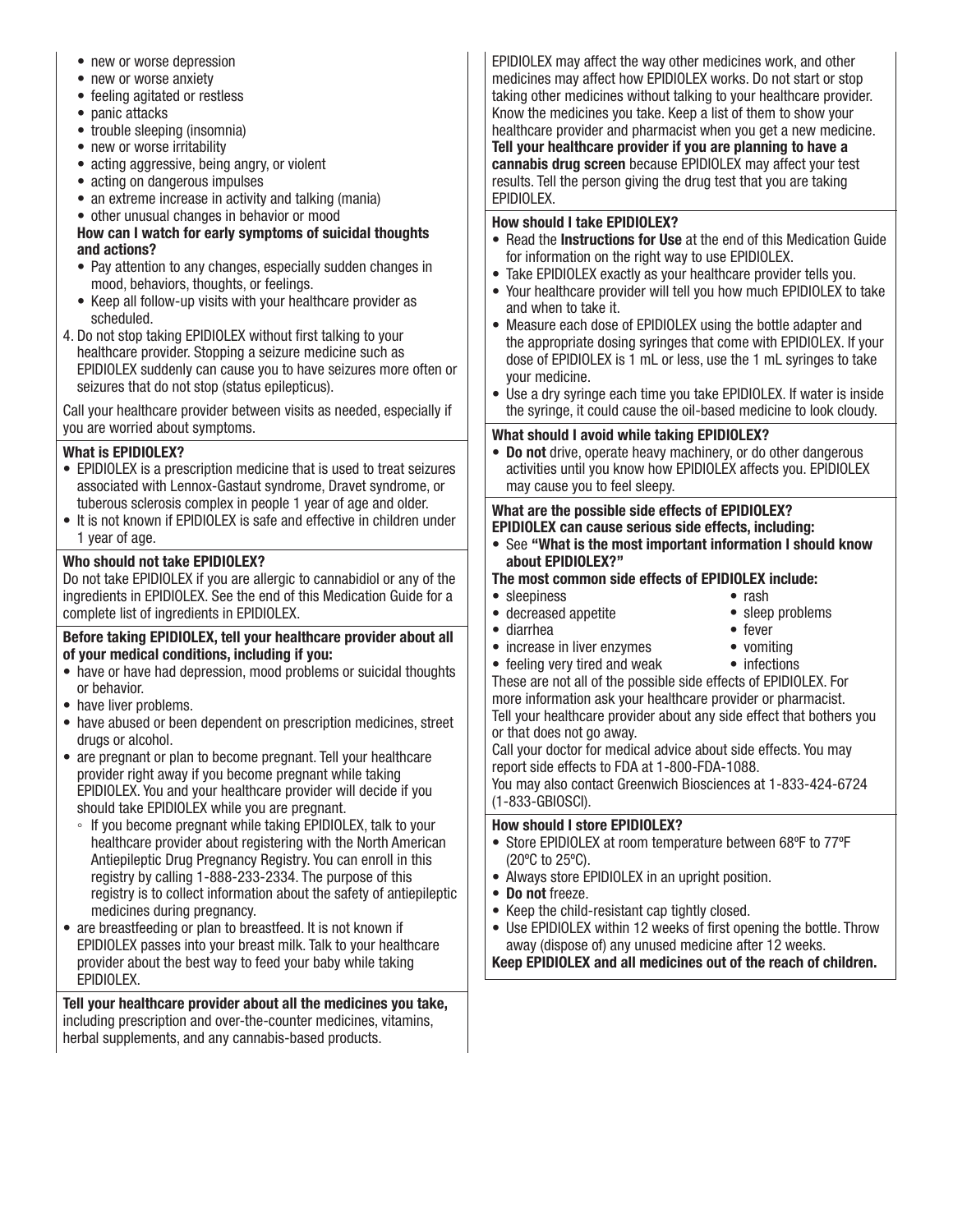- new or worse depression
- new or worse anxiety
- feeling agitated or restless
- panic attacks
- trouble sleeping (insomnia)
- new or worse irritability
- acting aggressive, being angry, or violent
- acting on dangerous impulses
- an extreme increase in activity and talking (mania)
- other unusual changes in behavior or mood

## How can I watch for early symptoms of suicidal thoughts and actions?

- Pay attention to any changes, especially sudden changes in mood, behaviors, thoughts, or feelings.
- Keep all follow-up visits with your healthcare provider as scheduled.
- 4. Do not stop taking EPIDIOLEX without first talking to your healthcare provider. Stopping a seizure medicine such as EPIDIOLEX suddenly can cause you to have seizures more often or seizures that do not stop (status epilepticus).

Call your healthcare provider between visits as needed, especially if you are worried about symptoms.

## What is EPIDIOLEX?

- EPIDIOLEX is a prescription medicine that is used to treat seizures associated with Lennox-Gastaut syndrome, Dravet syndrome, or tuberous sclerosis complex in people 1 year of age and older.
- It is not known if EPIDIOLEX is safe and effective in children under 1 year of age.

## Who should not take EPIDIOLEX?

Do not take EPIDIOLEX if you are allergic to cannabidiol or any of the ingredients in EPIDIOLEX. See the end of this Medication Guide for a complete list of ingredients in EPIDIOLEX.

## Before taking EPIDIOLEX, tell your healthcare provider about all of your medical conditions, including if you:

- have or have had depression, mood problems or suicidal thoughts or behavior.
- have liver problems.
- have abused or been dependent on prescription medicines, street drugs or alcohol.
- are pregnant or plan to become pregnant. Tell your healthcare provider right away if you become pregnant while taking EPIDIOLEX. You and your healthcare provider will decide if you should take EPIDIOLEX while you are pregnant.
	- If you become pregnant while taking EPIDIOLEX, talk to your healthcare provider about registering with the North American Antiepileptic Drug Pregnancy Registry. You can enroll in this registry by calling 1-888-233-2334. The purpose of this registry is to collect information about the safety of antiepileptic medicines during pregnancy.
- are breastfeeding or plan to breastfeed. It is not known if EPIDIOLEX passes into your breast milk. Talk to your healthcare provider about the best way to feed your baby while taking EPIDIOLEX.

Tell your healthcare provider about all the medicines you take, including prescription and over-the-counter medicines, vitamins, herbal supplements, and any cannabis-based products.

EPIDIOLEX may affect the way other medicines work, and other medicines may affect how EPIDIOLEX works. Do not start or stop taking other medicines without talking to your healthcare provider. Know the medicines you take. Keep a list of them to show your healthcare provider and pharmacist when you get a new medicine. Tell your healthcare provider if you are planning to have a cannabis drug screen because EPIDIOLEX may affect your test results. Tell the person giving the drug test that you are taking EPIDIOLEX.

## How should I take EPIDIOLEX?

- Read the Instructions for Use at the end of this Medication Guide for information on the right way to use EPIDIOLEX.
- Take EPIDIOLEX exactly as your healthcare provider tells you.
- Your healthcare provider will tell you how much EPIDIOLEX to take and when to take it.
- Measure each dose of EPIDIOLEX using the bottle adapter and the appropriate dosing syringes that come with EPIDIOLEX. If your dose of EPIDIOLEX is 1 mL or less, use the 1 mL syringes to take your medicine.
- Use a dry syringe each time you take EPIDIOLEX. If water is inside the syringe, it could cause the oil-based medicine to look cloudy.

## What should I avoid while taking EPIDIOLEX?

• Do not drive, operate heavy machinery, or do other dangerous activities until you know how EPIDIOLEX affects you. EPIDIOLEX may cause you to feel sleepy.

## What are the possible side effects of EPIDIOLEX? EPIDIOLEX can cause serious side effects, including:

• See "What is the most important information I should know about EPIDIOLEX?"

## The most common side effects of EPIDIOLEX include:

• sleepiness

- rash • sleep problems
- decreased appetite • diarrhea
- fever
- increase in liver enzymes
- vomiting
- feeling very tired and weak These are not all of the possible side effects of EPIDIOLEX. For more information ask your healthcare provider or pharmacist. Tell your healthcare provider about any side effect that bothers you or that does not go away. • infections

Call your doctor for medical advice about side effects. You may report side effects to FDA at 1-800-FDA-1088.

You may also contact Greenwich Biosciences at 1-833-424-6724 (1-833-GBIOSCI).

## How should I store EPIDIOLEX?

- Store EPIDIOLEX at room temperature between 68ºF to 77ºF (20ºC to 25ºC).
- Always store EPIDIOLEX in an upright position.
- Do not freeze.
- Keep the child-resistant cap tightly closed.
- Use EPIDIOLEX within 12 weeks of first opening the bottle. Throw away (dispose of) any unused medicine after 12 weeks.

Keep EPIDIOLEX and all medicines out of the reach of children.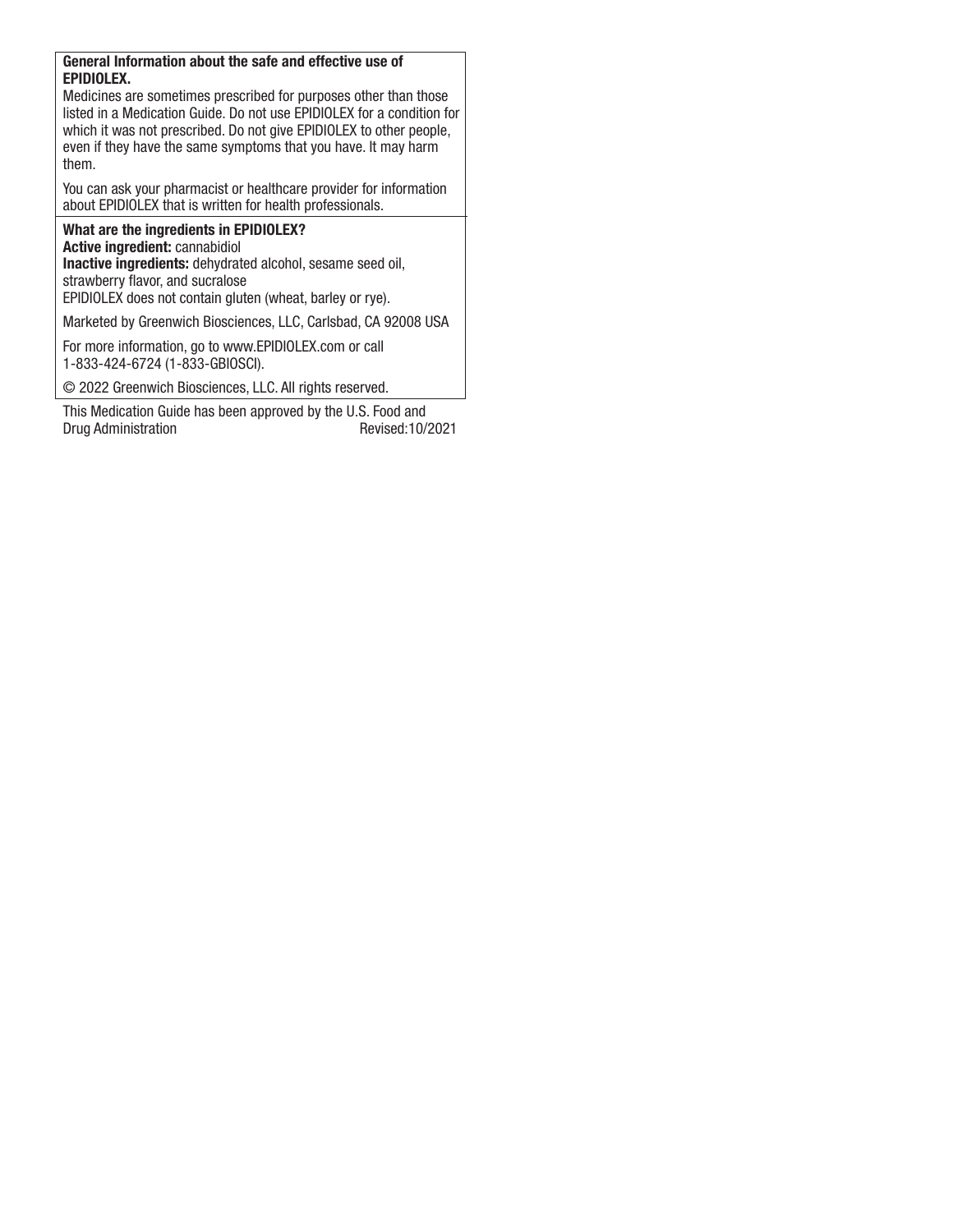## General Information about the safe and effective use of EPIDIOLEX.

Medicines are sometimes prescribed for purposes other than those listed in a Medication Guide. Do not use EPIDIOLEX for a condition for which it was not prescribed. Do not give EPIDIOLEX to other people, even if they have the same symptoms that you have. It may harm them.

You can ask your pharmacist or healthcare provider for information about EPIDIOLEX that is written for health professionals.

## What are the ingredients in EPIDIOLEX? Active ingredient: cannabidiol

Inactive ingredients: dehydrated alcohol, sesame seed oil, strawberry flavor, and sucralose

EPIDIOLEX does not contain gluten (wheat, barley or rye).

Marketed by Greenwich Biosciences, LLC, Carlsbad, CA 92008 USA

For more information, go to www.EPIDIOLEX.com or call 1-833-424-6724 (1-833-GBIOSCI).

© 2022 Greenwich Biosciences, LLC. All rights reserved.

This Medication Guide has been approved by the U.S. Food and Drug Administration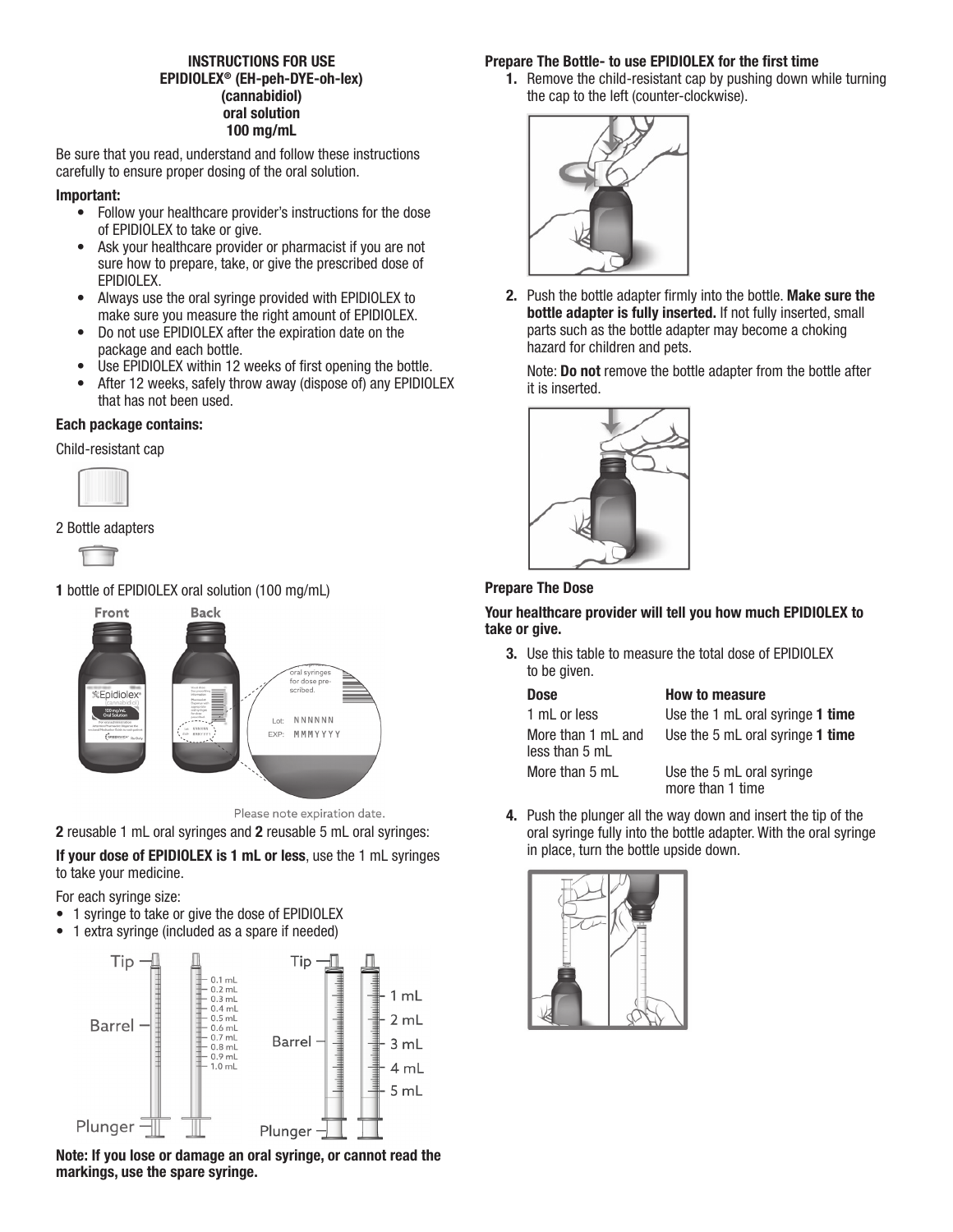## INSTRUCTIONS FOR USE EPIDIOLEX® (EH-peh-DYE-oh-lex) (cannabidiol) oral solution 100 mg/mL

Be sure that you read, understand and follow these instructions carefully to ensure proper dosing of the oral solution.

## Important:

- Follow your healthcare provider's instructions for the dose of EPIDIOLEX to take or give.
- Ask your healthcare provider or pharmacist if you are not sure how to prepare, take, or give the prescribed dose of EPIDIOLEX.
- Always use the oral syringe provided with EPIDIOLEX to make sure you measure the right amount of EPIDIOLEX.
- Do not use EPIDIOLEX after the expiration date on the package and each bottle.
- Use EPIDIOLEX within 12 weeks of first opening the bottle.
- After 12 weeks, safely throw away (dispose of) any EPIDIOLEX that has not been used.

## Each package contains:

Child-resistant cap







## 1 bottle of EPIDIOLEX oral solution (100 mg/mL)





2 reusable 1 mL oral syringes and 2 reusable 5 mL oral syringes:

If your dose of EPIDIOLEX is 1 mL or less, use the 1 mL syringes to take your medicine.

For each syringe size:

- 1 syringe to take or give the dose of EPIDIOLEX
- 1 extra syringe (included as a spare if needed)



## Note: If you lose or damage an oral syringe, or cannot read the markings, use the spare syringe.

## Prepare The Bottle- to use EPIDIOLEX for the first time

1. Remove the child-resistant cap by pushing down while turning the cap to the left (counter-clockwise).



2. Push the bottle adapter firmly into the bottle. Make sure the bottle adapter is fully inserted. If not fully inserted, small parts such as the bottle adapter may become a choking hazard for children and pets.

Note: Do not remove the bottle adapter from the bottle after it is inserted.



## Prepare The Dose

Your healthcare provider will tell you how much EPIDIOLEX to take or give.

3. Use this table to measure the total dose of EPIDIOLEX to be given.

| <b>Dose</b>                          | <b>How to measure</b>                         |
|--------------------------------------|-----------------------------------------------|
| 1 mL or less                         | Use the 1 mL oral syringe 1 time              |
| More than 1 mL and<br>less than 5 mL | Use the 5 mL oral syringe 1 time              |
| More than 5 mL                       | Use the 5 mL oral syringe<br>more than 1 time |

4. Push the plunger all the way down and insert the tip of the oral syringe fully into the bottle adapter. With the oral syringe in place, turn the bottle upside down.

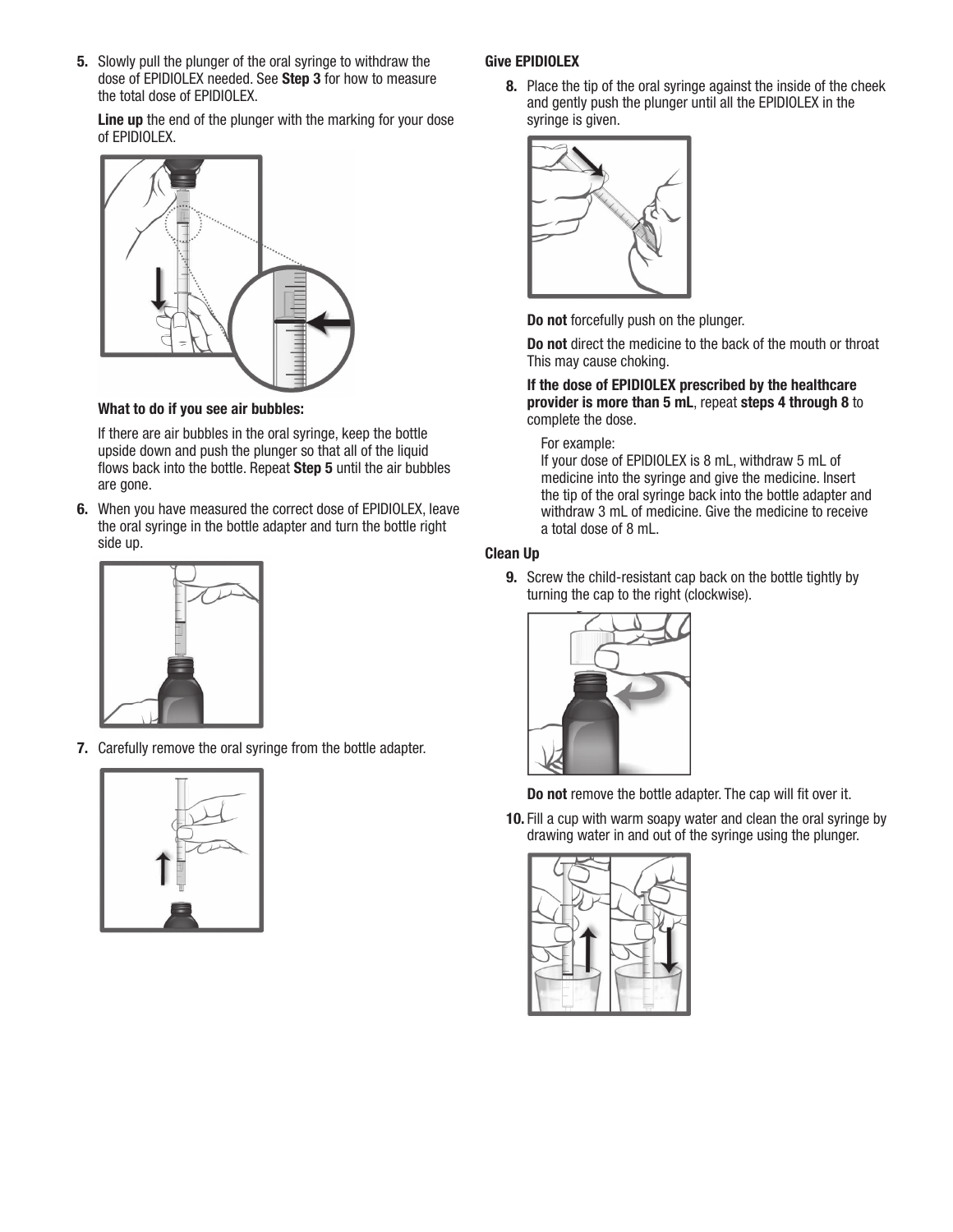5. Slowly pull the plunger of the oral syringe to withdraw the dose of EPIDIOLEX needed. See Step 3 for how to measure the total dose of EPIDIOLEX.

Line up the end of the plunger with the marking for your dose of EPIDIOLEX.



What to do if you see air bubbles:

If there are air bubbles in the oral syringe, keep the bottle upside down and push the plunger so that all of the liquid flows back into the bottle. Repeat Step 5 until the air bubbles are gone.

6. When you have measured the correct dose of EPIDIOLEX, leave the oral syringe in the bottle adapter and turn the bottle right side up.



7. Carefully remove the oral syringe from the bottle adapter.



## Give EPIDIOLEX

8. Place the tip of the oral syringe against the inside of the cheek and gently push the plunger until all the EPIDIOLEX in the syringe is given.



Do not forcefully push on the plunger.

Do not direct the medicine to the back of the mouth or throat This may cause choking.

## If the dose of EPIDIOLEX prescribed by the healthcare provider is more than 5 mL, repeat steps 4 through 8 to complete the dose.

## For example:

If your dose of EPIDIOLEX is 8 mL, withdraw 5 mL of medicine into the syringe and give the medicine. Insert the tip of the oral syringe back into the bottle adapter and withdraw 3 mL of medicine. Give the medicine to receive a total dose of 8 mL.

## Clean Up

**9.** Screw the child-resistant cap back on the bottle tightly by turning the cap to the right (clockwise).



Do not remove the bottle adapter. The cap will fit over it.

10. Fill a cup with warm soapy water and clean the oral syringe by drawing water in and out of the syringe using the plunger.